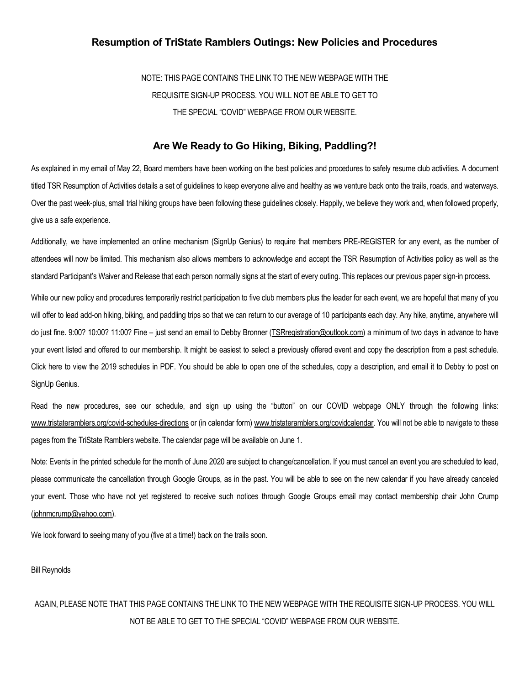# Resumption of TriState Ramblers Outings: New Policies and Procedures

NOTE: THIS PAGE CONTAINS THE LINK TO THE NEW WEBPAGE WITH THE REQUISITE SIGN-UP PROCESS. YOU WILL NOT BE ABLE TO GET TO THE SPECIAL "COVID" WEBPAGE FROM OUR WEBSITE.

# Are We Ready to Go Hiking, Biking, Paddling?!

As explained in my email of May 22, Board members have been working on the best policies and procedures to safely resume club activities. A document titled TSR Resumption of Activities details a set of guidelines to keep everyone alive and healthy as we venture back onto the trails, roads, and waterways. Over the past week-plus, small trial hiking groups have been following these guidelines closely. Happily, we believe they work and, when followed properly, give us a safe experience.

Additionally, we have implemented an online mechanism (SignUp Genius) to require that members PRE-REGISTER for any event, as the number of attendees will now be limited. This mechanism also allows members to acknowledge and accept the TSR Resumption of Activities policy as well as the standard Participant's Waiver and Release that each person normally signs at the start of every outing. This replaces our previous paper sign-in process.

While our new policy and procedures temporarily restrict participation to five club members plus the leader for each event, we are hopeful that many of you will offer to lead add-on hiking, biking, and paddling trips so that we can return to our average of 10 participants each day. Any hike, anytime, anywhere will do just fine. 9:00? 10:00? 11:00? Fine – just send an email to Debby Bronner (*TSRregistration@outlook.com*) a minimum of two days in advance to have your event listed and offered to our membership. It might be easiest to select a previously offered event and copy the description from a past schedule. Click here to view the 2019 schedules in PDF. You should be able to open one of the schedules, copy a description, and email it to Debby to post on SignUp Genius.

Read the new procedures, see our schedule, and sign up using the "button" on our COVID webpage ONLY through the following links: www.tristateramblers.org/covid-schedules-directions or (in calendar form) www.tristateramblers.org/covidcalendar. You will not be able to navigate to these pages from the TriState Ramblers website. The calendar page will be available on June 1.

Note: Events in the printed schedule for the month of June 2020 are subject to change/cancellation. If you must cancel an event you are scheduled to lead, please communicate the cancellation through Google Groups, as in the past. You will be able to see on the new calendar if you have already canceled your event. Those who have not yet registered to receive such notices through Google Groups email may contact membership chair John Crump (johnmcrump@yahoo.com).

We look forward to seeing many of you (five at a time!) back on the trails soon.

Bill Reynolds

# AGAIN, PLEASE NOTE THAT THIS PAGE CONTAINS THE LINK TO THE NEW WEBPAGE WITH THE REQUISITE SIGN-UP PROCESS. YOU WILL NOT BE ABLE TO GET TO THE SPECIAL "COVID" WEBPAGE FROM OUR WEBSITE.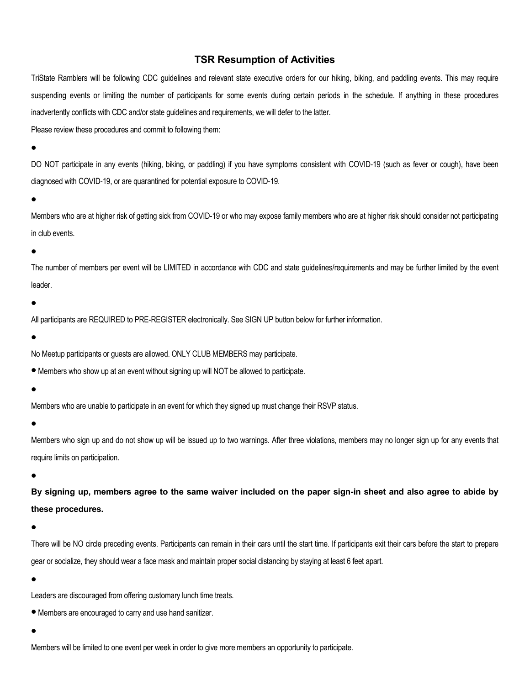# TSR Resumption of Activities

TriState Ramblers will be following CDC guidelines and relevant state executive orders for our hiking, biking, and paddling events. This may require suspending events or limiting the number of participants for some events during certain periods in the schedule. If anything in these procedures inadvertently conflicts with CDC and/or state guidelines and requirements, we will defer to the latter.

Please review these procedures and commit to following them:

 $\bullet$ 

DO NOT participate in any events (hiking, biking, or paddling) if you have symptoms consistent with COVID-19 (such as fever or cough), have been diagnosed with COVID-19, or are quarantined for potential exposure to COVID-19.

# $\bullet$

Members who are at higher risk of getting sick from COVID-19 or who may expose family members who are at higher risk should consider not participating in club events.

# $\bullet$

The number of members per event will be LIMITED in accordance with CDC and state guidelines/requirements and may be further limited by the event leader.

# $\bullet$

All participants are REQUIRED to PRE-REGISTER electronically. See SIGN UP button below for further information.

 $\bullet$ 

No Meetup participants or guests are allowed. ONLY CLUB MEMBERS may participate.

Members who show up at an event without signing up will NOT be allowed to participate.

 $\bullet$ 

Members who are unable to participate in an event for which they signed up must change their RSVP status.

 $\bullet$ 

Members who sign up and do not show up will be issued up to two warnings. After three violations, members may no longer sign up for any events that require limits on participation.

 $\bullet$ 

By signing up, members agree to the same waiver included on the paper sign-in sheet and also agree to abide by these procedures.

 $\bullet$ 

There will be NO circle preceding events. Participants can remain in their cars until the start time. If participants exit their cars before the start to prepare gear or socialize, they should wear a face mask and maintain proper social distancing by staying at least 6 feet apart.

 $\bullet$ 

Leaders are discouraged from offering customary lunch time treats.

Members are encouraged to carry and use hand sanitizer.

 $\bullet$ 

Members will be limited to one event per week in order to give more members an opportunity to participate.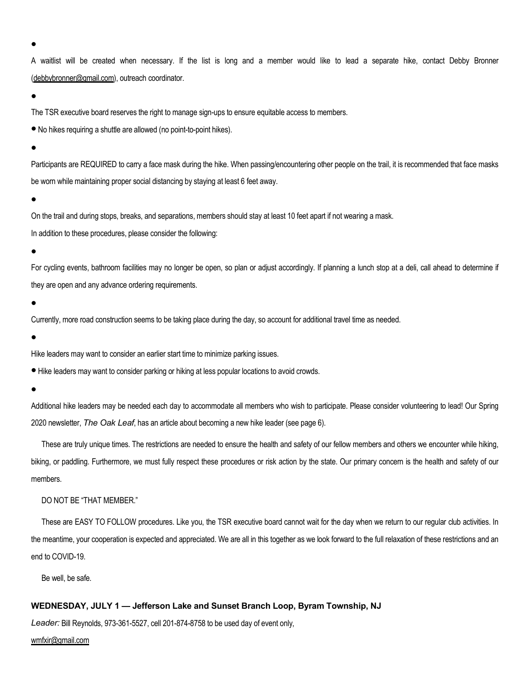$\bullet$ 

A waitlist will be created when necessary. If the list is long and a member would like to lead a separate hike, contact Debby Bronner (debbybronner@gmail.com), outreach coordinator.

 $\bullet$ 

The TSR executive board reserves the right to manage sign-ups to ensure equitable access to members.

No hikes requiring a shuttle are allowed (no point-to-point hikes).

 $\bullet$ 

Participants are REQUIRED to carry a face mask during the hike. When passing/encountering other people on the trail, it is recommended that face masks be worn while maintaining proper social distancing by staying at least 6 feet away.

 $\bullet$ 

On the trail and during stops, breaks, and separations, members should stay at least 10 feet apart if not wearing a mask.

In addition to these procedures, please consider the following:

#### $\bullet$

For cycling events, bathroom facilities may no longer be open, so plan or adjust accordingly. If planning a lunch stop at a deli, call ahead to determine if they are open and any advance ordering requirements.

 $\bullet$ 

Currently, more road construction seems to be taking place during the day, so account for additional travel time as needed.

 $\bullet$ 

Hike leaders may want to consider an earlier start time to minimize parking issues.

Hike leaders may want to consider parking or hiking at less popular locations to avoid crowds.

 $\bullet$ 

Additional hike leaders may be needed each day to accommodate all members who wish to participate. Please consider volunteering to lead! Our Spring 2020 newsletter, The Oak Leaf, has an article about becoming a new hike leader (see page 6).

These are truly unique times. The restrictions are needed to ensure the health and safety of our fellow members and others we encounter while hiking, biking, or paddling. Furthermore, we must fully respect these procedures or risk action by the state. Our primary concern is the health and safety of our members.

# DO NOT BE "THAT MEMBER."

These are EASY TO FOLLOW procedures. Like you, the TSR executive board cannot wait for the day when we return to our regular club activities. In the meantime, your cooperation is expected and appreciated. We are all in this together as we look forward to the full relaxation of these restrictions and an end to COVID-19.

Be well, be safe.

# WEDNESDAY, JULY 1 — Jefferson Lake and Sunset Branch Loop, Byram Township, NJ

Leader: Bill Reynolds, 973-361-5527, cell 201-874-8758 to be used day of event only,

wmfxir@gmail.com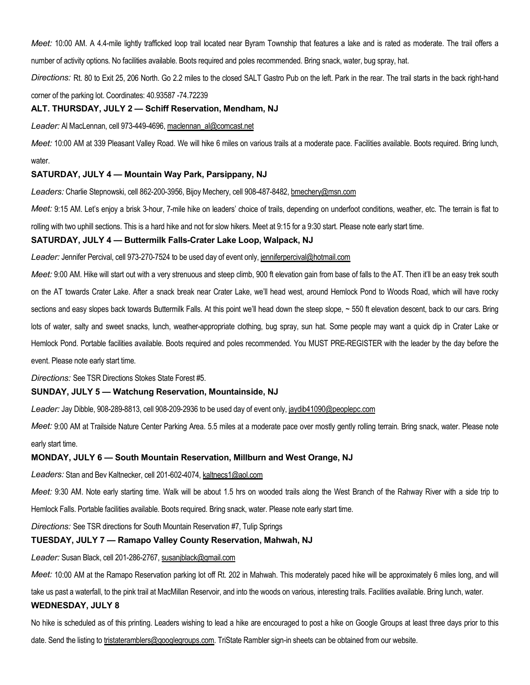Meet: 10:00 AM. A 4.4-mile lightly trafficked loop trail located near Byram Township that features a lake and is rated as moderate. The trail offers a number of activity options. No facilities available. Boots required and poles recommended. Bring snack, water, bug spray, hat.

Directions: Rt. 80 to Exit 25, 206 North. Go 2.2 miles to the closed SALT Gastro Pub on the left. Park in the rear. The trail starts in the back right-hand corner of the parking lot. Coordinates: 40.93587 -74.72239

#### ALT. THURSDAY, JULY 2 — Schiff Reservation, Mendham, NJ

Leader: Al MacLennan, cell 973-449-4696, maclennan\_al@comcast.net

Meet: 10:00 AM at 339 Pleasant Valley Road. We will hike 6 miles on various trails at a moderate pace. Facilities available. Boots required. Bring lunch, water.

# SATURDAY, JULY 4 — Mountain Way Park, Parsippany, NJ

Leaders: Charlie Stepnowski, cell 862-200-3956, Bijoy Mechery, cell 908-487-8482, bmechery@msn.com

Meet: 9:15 AM. Let's enjoy a brisk 3-hour, 7-mile hike on leaders' choice of trails, depending on underfoot conditions, weather, etc. The terrain is flat to rolling with two uphill sections. This is a hard hike and not for slow hikers. Meet at 9:15 for a 9:30 start. Please note early start time.

# SATURDAY, JULY 4 — Buttermilk Falls-Crater Lake Loop, Walpack, NJ

Leader: Jennifer Percival, cell 973-270-7524 to be used day of event only, jenniferpercival@hotmail.com

Meet: 9:00 AM. Hike will start out with a very strenuous and steep climb, 900 ft elevation gain from base of falls to the AT. Then it'll be an easy trek south on the AT towards Crater Lake. After a snack break near Crater Lake, we'll head west, around Hemlock Pond to Woods Road, which will have rocky sections and easy slopes back towards Buttermilk Falls. At this point we'll head down the steep slope, ~ 550 ft elevation descent, back to our cars. Bring lots of water, salty and sweet snacks, lunch, weather-appropriate clothing, bug spray, sun hat. Some people may want a quick dip in Crater Lake or Hemlock Pond. Portable facilities available. Boots required and poles recommended. You MUST PRE-REGISTER with the leader by the day before the event. Please note early start time.

Directions: See TSR Directions Stokes State Forest #5.

#### SUNDAY, JULY 5 — Watchung Reservation, Mountainside, NJ

Leader: Jay Dibble, 908-289-8813, cell 908-209-2936 to be used day of event only, jaydib41090@peoplepc.com

Meet: 9:00 AM at Trailside Nature Center Parking Area. 5.5 miles at a moderate pace over mostly gently rolling terrain. Bring snack, water. Please note early start time.

#### MONDAY, JULY 6 — South Mountain Reservation, Millburn and West Orange, NJ

Leaders: Stan and Bev Kaltnecker, cell 201-602-4074, kaltnecs1@aol.com

Meet: 9:30 AM. Note early starting time. Walk will be about 1.5 hrs on wooded trails along the West Branch of the Rahway River with a side trip to

Hemlock Falls. Portable facilities available. Boots required. Bring snack, water. Please note early start time.

Directions: See TSR directions for South Mountain Reservation #7, Tulip Springs

#### TUESDAY, JULY 7 — Ramapo Valley County Reservation, Mahwah, NJ

Leader: Susan Black, cell 201-286-2767, susanjblack@gmail.com

Meet: 10:00 AM at the Ramapo Reservation parking lot off Rt. 202 in Mahwah. This moderately paced hike will be approximately 6 miles long, and will

take us past a waterfall, to the pink trail at MacMillan Reservoir, and into the woods on various, interesting trails. Facilities available. Bring lunch, water.

#### WEDNESDAY, JULY 8

No hike is scheduled as of this printing. Leaders wishing to lead a hike are encouraged to post a hike on Google Groups at least three days prior to this date. Send the listing to tristateramblers@googlegroups.com. TriState Rambler sign-in sheets can be obtained from our website.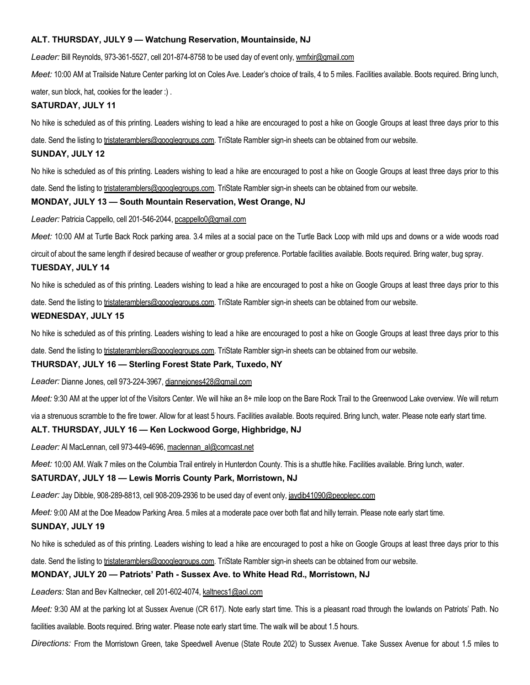# ALT. THURSDAY, JULY 9 — Watchung Reservation, Mountainside, NJ

Leader: Bill Reynolds, 973-361-5527, cell 201-874-8758 to be used day of event only, wmfxir@gmail.com

Meet: 10:00 AM at Trailside Nature Center parking lot on Coles Ave. Leader's choice of trails, 4 to 5 miles. Facilities available. Boots required. Bring lunch,

water, sun block, hat, cookies for the leader :) .

### SATURDAY, JULY 11

No hike is scheduled as of this printing. Leaders wishing to lead a hike are encouraged to post a hike on Google Groups at least three days prior to this

date. Send the listing to tristateramblers@googlegroups.com. TriState Rambler sign-in sheets can be obtained from our website.

#### SUNDAY, JULY 12

No hike is scheduled as of this printing. Leaders wishing to lead a hike are encouraged to post a hike on Google Groups at least three days prior to this

date. Send the listing to tristateramblers@googlegroups.com. TriState Rambler sign-in sheets can be obtained from our website.

#### MONDAY, JULY 13 — South Mountain Reservation, West Orange, NJ

Leader: Patricia Cappello, cell 201-546-2044, pcappello0@gmail.com

Meet: 10:00 AM at Turtle Back Rock parking area. 3.4 miles at a social pace on the Turtle Back Loop with mild ups and downs or a wide woods road

circuit of about the same length if desired because of weather or group preference. Portable facilities available. Boots required. Bring water, bug spray.

#### TUESDAY, JULY 14

No hike is scheduled as of this printing. Leaders wishing to lead a hike are encouraged to post a hike on Google Groups at least three days prior to this date. Send the listing to tristateramblers@googlegroups.com. TriState Rambler sign-in sheets can be obtained from our website.

#### WEDNESDAY, JULY 15

No hike is scheduled as of this printing. Leaders wishing to lead a hike are encouraged to post a hike on Google Groups at least three days prior to this

date. Send the listing to tristateramblers@googlegroups.com. TriState Rambler sign-in sheets can be obtained from our website.

#### THURSDAY, JULY 16 — Sterling Forest State Park, Tuxedo, NY

Leader: Dianne Jones, cell 973-224-3967, diannejones428@gmail.com

Meet: 9:30 AM at the upper lot of the Visitors Center. We will hike an 8+ mile loop on the Bare Rock Trail to the Greenwood Lake overview. We will return

via a strenuous scramble to the fire tower. Allow for at least 5 hours. Facilities available. Boots required. Bring lunch, water. Please note early start time.

#### ALT. THURSDAY, JULY 16 — Ken Lockwood Gorge, Highbridge, NJ

Leader: Al MacLennan, cell 973-449-4696, maclennan\_al@comcast.net

Meet: 10:00 AM. Walk 7 miles on the Columbia Trail entirely in Hunterdon County. This is a shuttle hike. Facilities available. Bring lunch, water.

#### SATURDAY, JULY 18 — Lewis Morris County Park, Morristown, NJ

Leader: Jay Dibble, 908-289-8813, cell 908-209-2936 to be used day of event only, jaydib41090@peoplepc.com

Meet: 9:00 AM at the Doe Meadow Parking Area. 5 miles at a moderate pace over both flat and hilly terrain. Please note early start time.

#### SUNDAY, JULY 19

No hike is scheduled as of this printing. Leaders wishing to lead a hike are encouraged to post a hike on Google Groups at least three days prior to this

date. Send the listing to tristateramblers@googlegroups.com. TriState Rambler sign-in sheets can be obtained from our website.

# MONDAY, JULY 20 — Patriots' Path - Sussex Ave. to White Head Rd., Morristown, NJ

Leaders: Stan and Bev Kaltnecker, cell 201-602-4074, kaltnecs1@aol.com

Meet: 9:30 AM at the parking lot at Sussex Avenue (CR 617). Note early start time. This is a pleasant road through the lowlands on Patriots' Path. No

facilities available. Boots required. Bring water. Please note early start time. The walk will be about 1.5 hours.

Directions: From the Morristown Green, take Speedwell Avenue (State Route 202) to Sussex Avenue. Take Sussex Avenue for about 1.5 miles to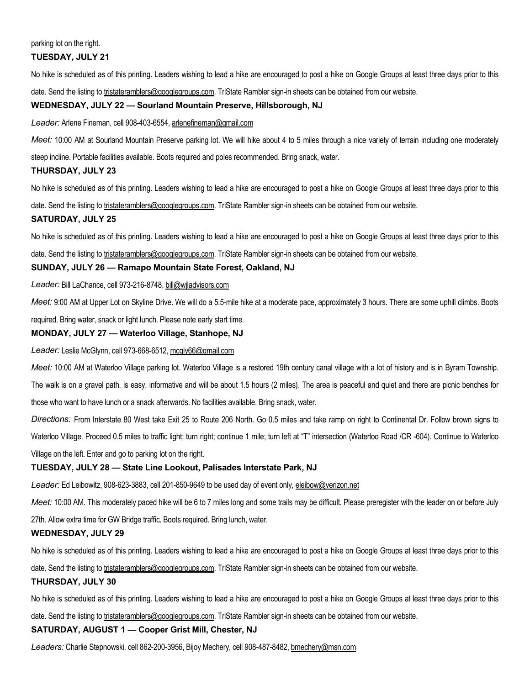#### parking lot on the right.

# TUESDAY, JULY 21

No hike is scheduled as of this printing. Leaders wishing to lead a hike are encouraged to post a hike on Google Groups at least three days prior to this

date. Send the listing to tristateramblers@googlegroups.com. TriState Rambler sign-in sheets can be obtained from our website.

#### WEDNESDAY, JULY 22 — Sourland Mountain Preserve, Hillsborough, NJ

Leader: Arlene Fineman, cell 908-403-6554, arlenefineman@gmail.com

Meet: 10:00 AM at Sourland Mountain Preserve parking lot. We will hike about 4 to 5 miles through a nice variety of terrain including one moderately

steep incline. Portable facilities available. Boots required and poles recommended. Bring snack, water.

# THURSDAY, JULY 23

No hike is scheduled as of this printing. Leaders wishing to lead a hike are encouraged to post a hike on Google Groups at least three days prior to this date. Send the listing to tristateramblers@googlegroups.com. TriState Rambler sign-in sheets can be obtained from our website.

# SATURDAY, JULY 25

No hike is scheduled as of this printing. Leaders wishing to lead a hike are encouraged to post a hike on Google Groups at least three days prior to this

date. Send the listing to tristateramblers@googlegroups.com. TriState Rambler sign-in sheets can be obtained from our website.

# SUNDAY, JULY 26 — Ramapo Mountain State Forest, Oakland, NJ

Leader: Bill LaChance, cell 973-216-8748, bill@wiladvisors.com

Meet: 9:00 AM at Upper Lot on Skyline Drive. We will do a 5.5-mile hike at a moderate pace, approximately 3 hours. There are some uphill climbs. Boots

required. Bring water, snack or light lunch. Please note early start time.

# MONDAY, JULY 27 — Waterloo Village, Stanhope, NJ

Leader: Leslie McGlynn, cell 973-668-6512, mcgly66@gmail.com

Meet: 10:00 AM at Waterloo Village parking lot. Waterloo Village is a restored 19th century canal village with a lot of history and is in Byram Township.

The walk is on a gravel path, is easy, informative and will be about 1.5 hours (2 miles). The area is peaceful and quiet and there are picnic benches for

those who want to have lunch or a snack afterwards. No facilities available. Bring snack, water.

Directions: From Interstate 80 West take Exit 25 to Route 206 North. Go 0.5 miles and take ramp on right to Continental Dr. Follow brown signs to Waterloo Village. Proceed 0.5 miles to traffic light; turn right; continue 1 mile; turn left at "T" intersection (Waterloo Road /CR -604). Continue to Waterloo Village on the left. Enter and go to parking lot on the right.

#### TUESDAY, JULY 28 — State Line Lookout, Palisades Interstate Park, NJ

Leader: Ed Leibowitz, 908-623-3883, cell 201-850-9649 to be used day of event only, eleibow@verizon.net

Meet: 10:00 AM. This moderately paced hike will be 6 to 7 miles long and some trails may be difficult. Please preregister with the leader on or before July

27th. Allow extra time for GW Bridge traffic. Boots required. Bring lunch, water.

#### WEDNESDAY, JULY 29

No hike is scheduled as of this printing. Leaders wishing to lead a hike are encouraged to post a hike on Google Groups at least three days prior to this date. Send the listing to tristateramblers@googlegroups.com. TriState Rambler sign-in sheets can be obtained from our website.

#### THURSDAY, JULY 30

No hike is scheduled as of this printing. Leaders wishing to lead a hike are encouraged to post a hike on Google Groups at least three days prior to this

date. Send the listing to tristateramblers@googlegroups.com. TriState Rambler sign-in sheets can be obtained from our website.

# SATURDAY, AUGUST 1 — Cooper Grist Mill, Chester, NJ

Leaders: Charlie Stepnowski, cell 862-200-3956, Bijoy Mechery, cell 908-487-8482, bmechery@msn.com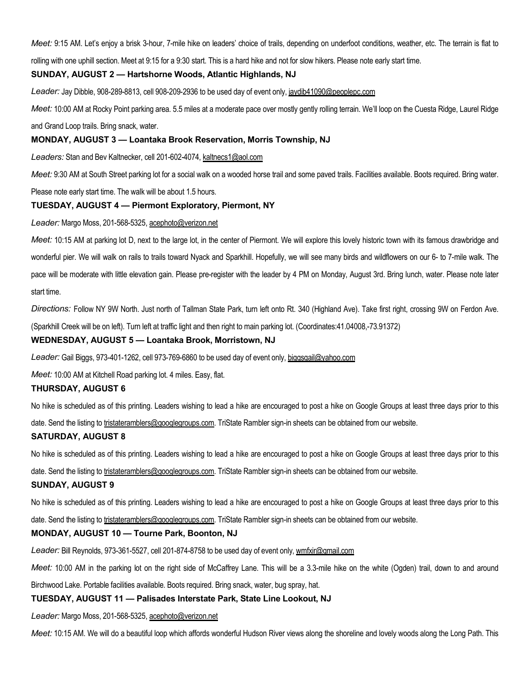Meet: 9:15 AM. Let's enjoy a brisk 3-hour, 7-mile hike on leaders' choice of trails, depending on underfoot conditions, weather, etc. The terrain is flat to

rolling with one uphill section. Meet at 9:15 for a 9:30 start. This is a hard hike and not for slow hikers. Please note early start time.

# SUNDAY, AUGUST 2 — Hartshorne Woods, Atlantic Highlands, NJ

Leader: Jay Dibble, 908-289-8813, cell 908-209-2936 to be used day of event only, jaydib41090@peoplepc.com

Meet: 10:00 AM at Rocky Point parking area. 5.5 miles at a moderate pace over mostly gently rolling terrain. We'll loop on the Cuesta Ridge, Laurel Ridge and Grand Loop trails. Bring snack, water.

#### MONDAY, AUGUST 3 — Loantaka Brook Reservation, Morris Township, NJ

Leaders: Stan and Bev Kaltnecker, cell 201-602-4074, kaltnecs1@aol.com

Meet: 9:30 AM at South Street parking lot for a social walk on a wooded horse trail and some paved trails. Facilities available. Boots required. Bring water.

Please note early start time. The walk will be about 1.5 hours.

# TUESDAY, AUGUST 4 — Piermont Exploratory, Piermont, NY

#### Leader: Margo Moss, 201-568-5325, acephoto@verizon.net

Meet: 10:15 AM at parking lot D, next to the large lot, in the center of Piermont. We will explore this lovely historic town with its famous drawbridge and wonderful pier. We will walk on rails to trails toward Nyack and Sparkhill. Hopefully, we will see many birds and wildflowers on our 6- to 7-mile walk. The pace will be moderate with little elevation gain. Please pre-register with the leader by 4 PM on Monday, August 3rd. Bring lunch, water. Please note later start time.

Directions: Follow NY 9W North. Just north of Tallman State Park, turn left onto Rt. 340 (Highland Ave). Take first right, crossing 9W on Ferdon Ave. (Sparkhill Creek will be on left). Turn left at traffic light and then right to main parking lot. (Coordinates:41.04008,-73.91372)

#### WEDNESDAY, AUGUST 5 — Loantaka Brook, Morristown, NJ

Leader: Gail Biggs, 973-401-1262, cell 973-769-6860 to be used day of event only, biggsgail@yahoo.com

Meet: 10:00 AM at Kitchell Road parking lot. 4 miles. Easy, flat.

#### THURSDAY, AUGUST 6

No hike is scheduled as of this printing. Leaders wishing to lead a hike are encouraged to post a hike on Google Groups at least three days prior to this

date. Send the listing to tristateramblers@googlegroups.com. TriState Rambler sign-in sheets can be obtained from our website.

#### SATURDAY, AUGUST 8

No hike is scheduled as of this printing. Leaders wishing to lead a hike are encouraged to post a hike on Google Groups at least three days prior to this

date. Send the listing to tristateramblers@googlegroups.com. TriState Rambler sign-in sheets can be obtained from our website.

#### SUNDAY, AUGUST 9

No hike is scheduled as of this printing. Leaders wishing to lead a hike are encouraged to post a hike on Google Groups at least three days prior to this

date. Send the listing to tristateramblers@googlegroups.com. TriState Rambler sign-in sheets can be obtained from our website.

#### MONDAY, AUGUST 10 — Tourne Park, Boonton, NJ

Leader: Bill Reynolds, 973-361-5527, cell 201-874-8758 to be used day of event only, wmfxir@gmail.com

Meet: 10:00 AM in the parking lot on the right side of McCaffrey Lane. This will be a 3.3-mile hike on the white (Ogden) trail, down to and around

Birchwood Lake. Portable facilities available. Boots required. Bring snack, water, bug spray, hat.

#### TUESDAY, AUGUST 11 — Palisades Interstate Park, State Line Lookout, NJ

Leader: Margo Moss, 201-568-5325, acephoto@verizon.net

Meet: 10:15 AM. We will do a beautiful loop which affords wonderful Hudson River views along the shoreline and lovely woods along the Long Path. This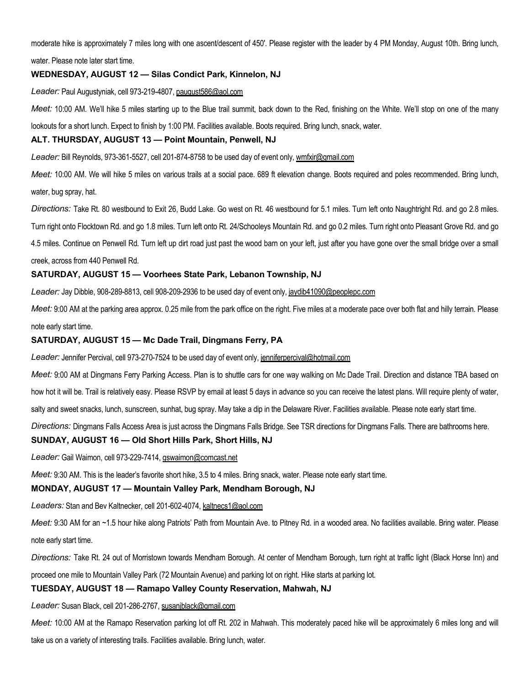moderate hike is approximately 7 miles long with one ascent/descent of 450'. Please register with the leader by 4 PM Monday, August 10th. Bring lunch,

water. Please note later start time.

# WEDNESDAY, AUGUST 12 — Silas Condict Park, Kinnelon, NJ

Leader: Paul Augustyniak, cell 973-219-4807, paugust586@aol.com

Meet: 10:00 AM. We'll hike 5 miles starting up to the Blue trail summit, back down to the Red, finishing on the White. We'll stop on one of the many

lookouts for a short lunch. Expect to finish by 1:00 PM. Facilities available. Boots required. Bring lunch, snack, water.

#### ALT. THURSDAY, AUGUST 13 — Point Mountain, Penwell, NJ

Leader: Bill Reynolds, 973-361-5527, cell 201-874-8758 to be used day of event only, wmfxir@gmail.com

Meet: 10:00 AM. We will hike 5 miles on various trails at a social pace. 689 ft elevation change. Boots required and poles recommended. Bring lunch, water, bug spray, hat.

Directions: Take Rt. 80 westbound to Exit 26, Budd Lake. Go west on Rt. 46 westbound for 5.1 miles. Turn left onto Naughtright Rd. and go 2.8 miles. Turn right onto Flocktown Rd. and go 1.8 miles. Turn left onto Rt. 24/Schooleys Mountain Rd. and go 0.2 miles. Turn right onto Pleasant Grove Rd. and go 4.5 miles. Continue on Penwell Rd. Turn left up dirt road just past the wood barn on your left, just after you have gone over the small bridge over a small creek, across from 440 Penwell Rd.

# SATURDAY, AUGUST 15 — Voorhees State Park, Lebanon Township, NJ

Leader: Jay Dibble, 908-289-8813, cell 908-209-2936 to be used day of event only, jaydib41090@peoplepc.com

Meet: 9:00 AM at the parking area approx. 0.25 mile from the park office on the right. Five miles at a moderate pace over both flat and hilly terrain. Please note early start time.

#### SATURDAY, AUGUST 15 — Mc Dade Trail, Dingmans Ferry, PA

Leader: Jennifer Percival, cell 973-270-7524 to be used day of event only, jenniferpercival@hotmail.com

Meet: 9:00 AM at Dingmans Ferry Parking Access. Plan is to shuttle cars for one way walking on Mc Dade Trail. Direction and distance TBA based on how hot it will be. Trail is relatively easy. Please RSVP by email at least 5 days in advance so you can receive the latest plans. Will require plenty of water, salty and sweet snacks, lunch, sunscreen, sunhat, bug spray. May take a dip in the Delaware River. Facilities available. Please note early start time.

Directions: Dingmans Falls Access Area is just across the Dingmans Falls Bridge. See TSR directions for Dingmans Falls. There are bathrooms here.

#### SUNDAY, AUGUST 16 — Old Short Hills Park, Short Hills, NJ

Leader: Gail Waimon, cell 973-229-7414, gswaimon@comcast.net

Meet: 9:30 AM. This is the leader's favorite short hike, 3.5 to 4 miles. Bring snack, water. Please note early start time.

#### MONDAY, AUGUST 17 — Mountain Valley Park, Mendham Borough, NJ

Leaders: Stan and Bev Kaltnecker, cell 201-602-4074, kaltnecs1@aol.com

Meet: 9:30 AM for an ~1.5 hour hike along Patriots' Path from Mountain Ave. to Pitney Rd. in a wooded area. No facilities available. Bring water. Please note early start time.

Directions: Take Rt. 24 out of Morristown towards Mendham Borough. At center of Mendham Borough, turn right at traffic light (Black Horse Inn) and proceed one mile to Mountain Valley Park (72 Mountain Avenue) and parking lot on right. Hike starts at parking lot.

# TUESDAY, AUGUST 18 — Ramapo Valley County Reservation, Mahwah, NJ

Leader: Susan Black, cell 201-286-2767, susaniblack@gmail.com

Meet: 10:00 AM at the Ramapo Reservation parking lot off Rt. 202 in Mahwah. This moderately paced hike will be approximately 6 miles long and will take us on a variety of interesting trails. Facilities available. Bring lunch, water.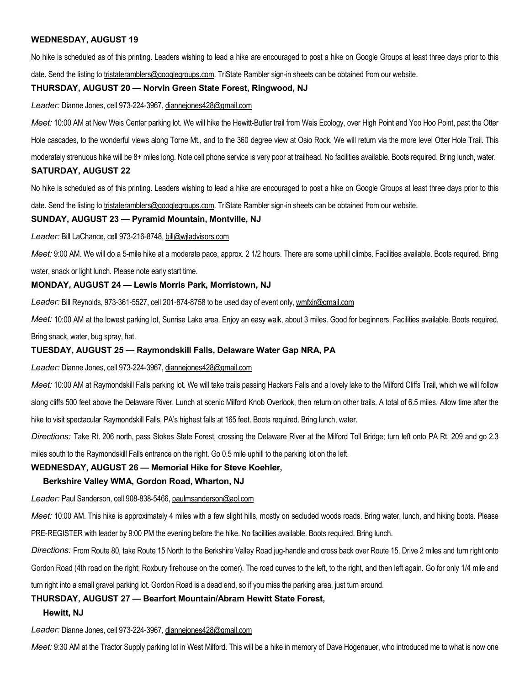### WEDNESDAY, AUGUST 19

No hike is scheduled as of this printing. Leaders wishing to lead a hike are encouraged to post a hike on Google Groups at least three days prior to this date. Send the listing to tristateramblers@googlegroups.com. TriState Rambler sign-in sheets can be obtained from our website.

#### THURSDAY, AUGUST 20 — Norvin Green State Forest, Ringwood, NJ

Leader: Dianne Jones, cell 973-224-3967, diannejones428@gmail.com

Meet: 10:00 AM at New Weis Center parking lot. We will hike the Hewitt-Butler trail from Weis Ecology, over High Point and Yoo Hoo Point, past the Otter Hole cascades, to the wonderful views along Torne Mt., and to the 360 degree view at Osio Rock. We will return via the more level Otter Hole Trail. This moderately strenuous hike will be 8+ miles long. Note cell phone service is very poor at trailhead. No facilities available. Boots required. Bring lunch, water. SATURDAY, AUGUST 22

No hike is scheduled as of this printing. Leaders wishing to lead a hike are encouraged to post a hike on Google Groups at least three days prior to this date. Send the listing to tristateramblers@googlegroups.com. TriState Rambler sign-in sheets can be obtained from our website.

# SUNDAY, AUGUST 23 — Pyramid Mountain, Montville, NJ

Leader: Bill LaChance, cell 973-216-8748, bill@wiladvisors.com

Meet: 9:00 AM. We will do a 5-mile hike at a moderate pace, approx. 2 1/2 hours. There are some uphill climbs. Facilities available. Boots required. Bring

water, snack or light lunch. Please note early start time.

### MONDAY, AUGUST 24 — Lewis Morris Park, Morristown, NJ

Leader: Bill Reynolds, 973-361-5527, cell 201-874-8758 to be used day of event only, wmfxir@gmail.com

Meet: 10:00 AM at the lowest parking lot, Sunrise Lake area. Enjoy an easy walk, about 3 miles. Good for beginners. Facilities available. Boots required.

Bring snack, water, bug spray, hat.

#### TUESDAY, AUGUST 25 — Raymondskill Falls, Delaware Water Gap NRA, PA

Leader: Dianne Jones, cell 973-224-3967, diannejones 428@gmail.com

Meet: 10:00 AM at Raymondskill Falls parking lot. We will take trails passing Hackers Falls and a lovely lake to the Milford Cliffs Trail, which we will follow along cliffs 500 feet above the Delaware River. Lunch at scenic Milford Knob Overlook, then return on other trails. A total of 6.5 miles. Allow time after the hike to visit spectacular Raymondskill Falls, PA's highest falls at 165 feet. Boots required. Bring lunch, water.

Directions: Take Rt. 206 north, pass Stokes State Forest, crossing the Delaware River at the Milford Toll Bridge; turn left onto PA Rt. 209 and go 2.3 miles south to the Raymondskill Falls entrance on the right. Go 0.5 mile uphill to the parking lot on the left.

#### WEDNESDAY, AUGUST 26 — Memorial Hike for Steve Koehler,

#### Berkshire Valley WMA, Gordon Road, Wharton, NJ

Leader: Paul Sanderson, cell 908-838-5466, paulmsanderson@aol.com

Meet: 10:00 AM. This hike is approximately 4 miles with a few slight hills, mostly on secluded woods roads. Bring water, lunch, and hiking boots. Please PRE-REGISTER with leader by 9:00 PM the evening before the hike. No facilities available. Boots required. Bring lunch.

Directions: From Route 80, take Route 15 North to the Berkshire Valley Road jug-handle and cross back over Route 15. Drive 2 miles and turn right onto

Gordon Road (4th road on the right; Roxbury firehouse on the corner). The road curves to the left, to the right, and then left again. Go for only 1/4 mile and

turn right into a small gravel parking lot. Gordon Road is a dead end, so if you miss the parking area, just turn around.

#### THURSDAY, AUGUST 27 — Bearfort Mountain/Abram Hewitt State Forest,

#### Hewitt, NJ

Leader: Dianne Jones, cell 973-224-3967, diannejones428@gmail.com

Meet: 9:30 AM at the Tractor Supply parking lot in West Milford. This will be a hike in memory of Dave Hogenauer, who introduced me to what is now one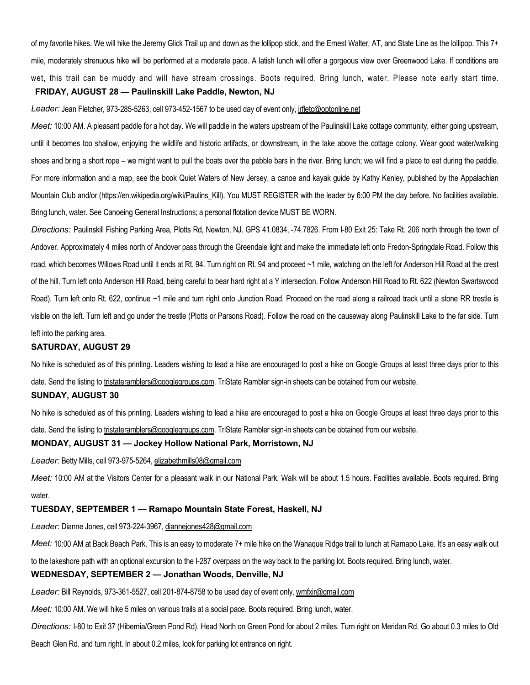of my favorite hikes. We will hike the Jeremy Glick Trail up and down as the lollipop stick, and the Ernest Walter, AT, and State Line as the lollipop. This 7+ mile, moderately strenuous hike will be performed at a moderate pace. A latish lunch will offer a gorgeous view over Greenwood Lake. If conditions are wet, this trail can be muddy and will have stream crossings. Boots required. Bring lunch, water. Please note early start time. FRIDAY, AUGUST 28 — Paulinskill Lake Paddle, Newton, NJ

# Leader: Jean Fletcher, 973-285-5263, cell 973-452-1567 to be used day of event only, jrfletc@optonline.net

Meet: 10:00 AM. A pleasant paddle for a hot day. We will paddle in the waters upstream of the Paulinskill Lake cottage community, either going upstream, until it becomes too shallow, enjoying the wildlife and historic artifacts, or downstream, in the lake above the cottage colony. Wear good water/walking shoes and bring a short rope – we might want to pull the boats over the pebble bars in the river. Bring lunch; we will find a place to eat during the paddle. For more information and a map, see the book Quiet Waters of New Jersey, a canoe and kayak guide by Kathy Kenley, published by the Appalachian Mountain Club and/or (https://en.wikipedia.org/wiki/Paulins\_Kill). You MUST REGISTER with the leader by 6:00 PM the day before. No facilities available. Bring lunch, water. See Canoeing General Instructions; a personal flotation device MUST BE WORN.

Directions: Paulinskill Fishing Parking Area, Plotts Rd, Newton, NJ. GPS 41.0834, -74.7826. From I-80 Exit 25: Take Rt. 206 north through the town of Andover. Approximately 4 miles north of Andover pass through the Greendale light and make the immediate left onto Fredon-Springdale Road. Follow this road, which becomes Willows Road until it ends at Rt. 94. Turn right on Rt. 94 and proceed ~1 mile, watching on the left for Anderson Hill Road at the crest of the hill. Turn left onto Anderson Hill Road, being careful to bear hard right at a Y intersection. Follow Anderson Hill Road to Rt. 622 (Newton Swartswood Road). Turn left onto Rt. 622, continue ~1 mile and turn right onto Junction Road. Proceed on the road along a railroad track until a stone RR trestle is visible on the left. Turn left and go under the trestle (Plotts or Parsons Road). Follow the road on the causeway along Paulinskill Lake to the far side. Turn left into the parking area.

#### SATURDAY, AUGUST 29

No hike is scheduled as of this printing. Leaders wishing to lead a hike are encouraged to post a hike on Google Groups at least three days prior to this date. Send the listing to tristateramblers@googlegroups.com. TriState Rambler sign-in sheets can be obtained from our website.

#### SUNDAY, AUGUST 30

No hike is scheduled as of this printing. Leaders wishing to lead a hike are encouraged to post a hike on Google Groups at least three days prior to this date. Send the listing to tristateramblers@googlegroups.com. TriState Rambler sign-in sheets can be obtained from our website.

#### MONDAY, AUGUST 31 — Jockey Hollow National Park, Morristown, NJ

Leader: Betty Mills, cell 973-975-5264, elizabethmills08@gmail.com

Meet: 10:00 AM at the Visitors Center for a pleasant walk in our National Park. Walk will be about 1.5 hours. Facilities available. Boots required. Bring water.

#### TUESDAY, SEPTEMBER 1 — Ramapo Mountain State Forest, Haskell, NJ

Leader: Dianne Jones, cell 973-224-3967, dianneiones428@gmail.com

Meet: 10:00 AM at Back Beach Park. This is an easy to moderate 7+ mile hike on the Wanaque Ridge trail to lunch at Ramapo Lake. It's an easy walk out to the lakeshore path with an optional excursion to the I-287 overpass on the way back to the parking lot. Boots required. Bring lunch, water.

#### WEDNESDAY, SEPTEMBER 2 — Jonathan Woods, Denville, NJ

Leader: Bill Reynolds, 973-361-5527, cell 201-874-8758 to be used day of event only, wmfxir@gmail.com

Meet: 10:00 AM. We will hike 5 miles on various trails at a social pace. Boots required. Bring lunch, water.

Directions: I-80 to Exit 37 (Hibernia/Green Pond Rd). Head North on Green Pond for about 2 miles. Turn right on Meridan Rd. Go about 0.3 miles to Old

Beach Glen Rd. and turn right. In about 0.2 miles, look for parking lot entrance on right.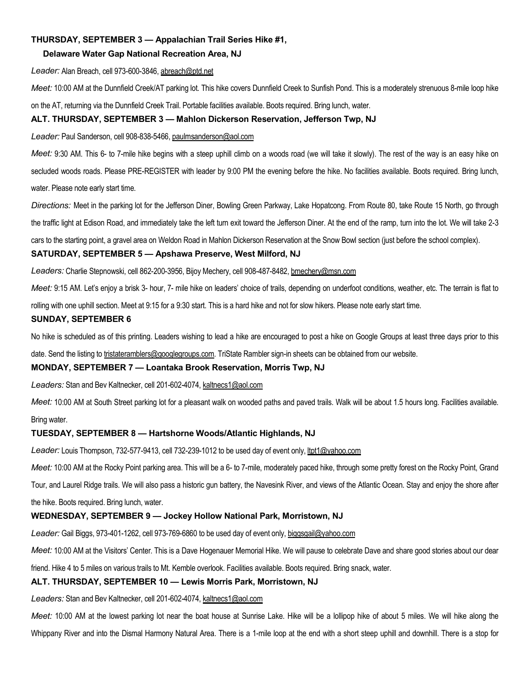## THURSDAY, SEPTEMBER 3 — Appalachian Trail Series Hike #1,

#### Delaware Water Gap National Recreation Area, NJ

Leader: Alan Breach, cell 973-600-3846, abreach@ptd.net

Meet: 10:00 AM at the Dunnfield Creek/AT parking lot. This hike covers Dunnfield Creek to Sunfish Pond. This is a moderately strenuous 8-mile loop hike on the AT, returning via the Dunnfield Creek Trail. Portable facilities available. Boots required. Bring lunch, water.

# ALT. THURSDAY, SEPTEMBER 3 — Mahlon Dickerson Reservation, Jefferson Twp, NJ

Leader: Paul Sanderson, cell 908-838-5466, paulmsanderson@aol.com

Meet: 9:30 AM. This 6- to 7-mile hike begins with a steep uphill climb on a woods road (we will take it slowly). The rest of the way is an easy hike on secluded woods roads. Please PRE-REGISTER with leader by 9:00 PM the evening before the hike. No facilities available. Boots required. Bring lunch, water. Please note early start time.

Directions: Meet in the parking lot for the Jefferson Diner, Bowling Green Parkway, Lake Hopatcong. From Route 80, take Route 15 North, go through

the traffic light at Edison Road, and immediately take the left turn exit toward the Jefferson Diner. At the end of the ramp, turn into the lot. We will take 2-3

cars to the starting point, a gravel area on Weldon Road in Mahlon Dickerson Reservation at the Snow Bowl section (just before the school complex).

#### SATURDAY, SEPTEMBER 5 — Apshawa Preserve, West Milford, NJ

Leaders: Charlie Stepnowski, cell 862-200-3956, Bijoy Mechery, cell 908-487-8482, bmechery@msn.com

Meet: 9:15 AM. Let's enjoy a brisk 3- hour, 7- mile hike on leaders' choice of trails, depending on underfoot conditions, weather, etc. The terrain is flat to

rolling with one uphill section. Meet at 9:15 for a 9:30 start. This is a hard hike and not for slow hikers. Please note early start time.

#### SUNDAY, SEPTEMBER 6

No hike is scheduled as of this printing. Leaders wishing to lead a hike are encouraged to post a hike on Google Groups at least three days prior to this

date. Send the listing to tristateramblers@googlegroups.com. TriState Rambler sign-in sheets can be obtained from our website.

#### MONDAY, SEPTEMBER 7 — Loantaka Brook Reservation, Morris Twp, NJ

Leaders: Stan and Bev Kaltnecker, cell 201-602-4074, kaltnecs1@aol.com

Meet: 10:00 AM at South Street parking lot for a pleasant walk on wooded paths and paved trails. Walk will be about 1.5 hours long. Facilities available. Bring water.

#### TUESDAY, SEPTEMBER 8 — Hartshorne Woods/Atlantic Highlands, NJ

Leader: Louis Thompson, 732-577-9413, cell 732-239-1012 to be used day of event only, ltpt1@yahoo.com

Meet: 10:00 AM at the Rocky Point parking area. This will be a 6- to 7-mile, moderately paced hike, through some pretty forest on the Rocky Point, Grand

Tour, and Laurel Ridge trails. We will also pass a historic gun battery, the Navesink River, and views of the Atlantic Ocean. Stay and enjoy the shore after the hike. Boots required. Bring lunch, water.

#### WEDNESDAY, SEPTEMBER 9 — Jockey Hollow National Park, Morristown, NJ

Leader: Gail Biggs, 973-401-1262, cell 973-769-6860 to be used day of event only, biggsgail@yahoo.com

Meet: 10:00 AM at the Visitors' Center. This is a Dave Hogenauer Memorial Hike. We will pause to celebrate Dave and share good stories about our dear

friend. Hike 4 to 5 miles on various trails to Mt. Kemble overlook. Facilities available. Boots required. Bring snack, water.

#### ALT. THURSDAY, SEPTEMBER 10 — Lewis Morris Park, Morristown, NJ

Leaders: Stan and Bev Kaltnecker, cell 201-602-4074, kaltnecs1@aol.com

Meet: 10:00 AM at the lowest parking lot near the boat house at Sunrise Lake. Hike will be a lollipop hike of about 5 miles. We will hike along the Whippany River and into the Dismal Harmony Natural Area. There is a 1-mile loop at the end with a short steep uphill and downhill. There is a stop for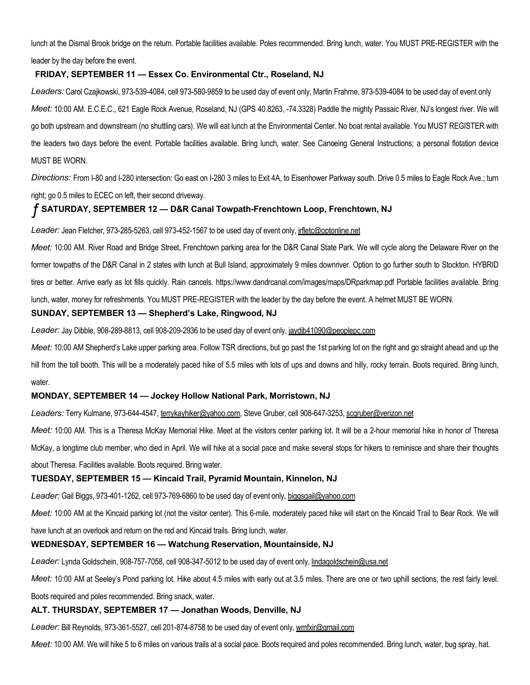lunch at the Dismal Brook bridge on the return. Portable facilities available. Poles recommended. Bring lunch, water. You MUST PRE-REGISTER with the leader by the day before the event.

## FRIDAY, SEPTEMBER 11 — Essex Co. Environmental Ctr., Roseland, NJ

Leaders: Carol Czajkowski, 973-539-4084, cell 973-580-9859 to be used day of event only, Martin Frahme, 973-539-4084 to be used day of event only Meet: 10:00 AM. E.C.E.C., 621 Eagle Rock Avenue, Roseland, NJ (GPS 40.8263, -74.3328) Paddle the mighty Passaic River, NJ's longest river. We will go both upstream and downstream (no shuttling cars). We will eat lunch at the Environmental Center. No boat rental available. You MUST REGISTER with the leaders two days before the event. Portable facilities available. Bring lunch, water. See Canoeing General Instructions; a personal flotation device MUST BE WORN.

Directions: From I-80 and I-280 intersection: Go east on I-280 3 miles to Exit 4A, to Eisenhower Parkway south. Drive 0.5 miles to Eagle Rock Ave.; turn right; go 0.5 miles to ECEC on left, their second driveway.

# ƒ SATURDAY, SEPTEMBER 12 — D&R Canal Towpath-Frenchtown Loop, Frenchtown, NJ

Leader: Jean Fletcher, 973-285-5263, cell 973-452-1567 to be used day of event only, *jrfletc@optonline.net* 

Meet: 10:00 AM. River Road and Bridge Street, Frenchtown parking area for the D&R Canal State Park. We will cycle along the Delaware River on the former towpaths of the D&R Canal in 2 states with lunch at Bull Island, approximately 9 miles downriver. Option to go further south to Stockton. HYBRID tires or better. Arrive early as lot fills quickly. Rain cancels. https://www.dandrcanal.com/images/maps/DRparkmap.pdf Portable facilities available. Bring lunch, water, money for refreshments. You MUST PRE-REGISTER with the leader by the day before the event. A helmet MUST BE WORN.

# SUNDAY, SEPTEMBER 13 — Shepherd's Lake, Ringwood, NJ

Leader: Jay Dibble, 908-289-8813, cell 908-209-2936 to be used day of event only, jaydib41090@peoplepc.com

Meet: 10:00 AM Shepherd's Lake upper parking area. Follow TSR directions, but go past the 1st parking lot on the right and go straight ahead and up the hill from the toll booth. This will be a moderately paced hike of 5.5 miles with lots of ups and downs and hilly, rocky terrain. Boots required. Bring lunch, water.

#### MONDAY, SEPTEMBER 14 — Jockey Hollow National Park, Morristown, NJ

Leaders: Terry Kulmane, 973-644-4547, terrykayhiker@yahoo.com, Steve Gruber, cell 908-647-3253, scgruber@verizon.net

Meet: 10:00 AM. This is a Theresa McKay Memorial Hike. Meet at the visitors center parking lot. It will be a 2-hour memorial hike in honor of Theresa McKay, a longtime club member, who died in April. We will hike at a social pace and make several stops for hikers to reminisce and share their thoughts about Theresa. Facilities available. Boots required. Bring water.

#### TUESDAY, SEPTEMBER 15 — Kincaid Trail, Pyramid Mountain, Kinnelon, NJ

Leader: Gail Biggs, 973-401-1262, cell 973-769-6860 to be used day of event only, biggsgail@yahoo.com

Meet: 10:00 AM at the Kincaid parking lot (not the visitor center). This 6-mile, moderately paced hike will start on the Kincaid Trail to Bear Rock. We will

have lunch at an overlook and return on the red and Kincaid trails. Bring lunch, water.

#### WEDNESDAY, SEPTEMBER 16 — Watchung Reservation, Mountainside, NJ

Leader: Lynda Goldschein, 908-757-7058, cell 908-347-5012 to be used day of event only, lindagoldschein@usa.net

Meet: 10:00 AM at Seeley's Pond parking lot. Hike about 4.5 miles with early out at 3.5 miles. There are one or two uphill sections, the rest fairly level.

Boots required and poles recommended. Bring snack, water.

#### ALT. THURSDAY, SEPTEMBER 17 — Jonathan Woods, Denville, NJ

Leader: Bill Reynolds, 973-361-5527, cell 201-874-8758 to be used day of event only, wmfxir@gmail.com

Meet: 10:00 AM. We will hike 5 to 6 miles on various trails at a social pace. Boots required and poles recommended. Bring lunch, water, bug spray, hat.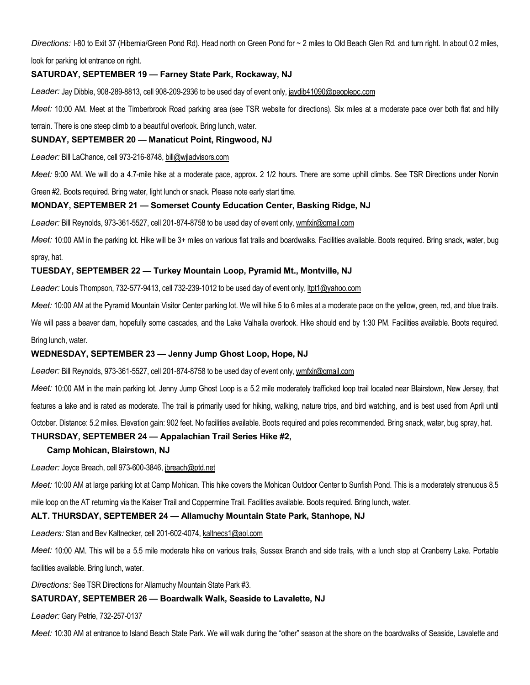Directions: I-80 to Exit 37 (Hibernia/Green Pond Rd). Head north on Green Pond for ~ 2 miles to Old Beach Glen Rd. and turn right. In about 0.2 miles,

look for parking lot entrance on right.

# SATURDAY, SEPTEMBER 19 — Farney State Park, Rockaway, NJ

Leader: Jay Dibble, 908-289-8813, cell 908-209-2936 to be used day of event only, jaydib41090@peoplepc.com

Meet: 10:00 AM. Meet at the Timberbrook Road parking area (see TSR website for directions). Six miles at a moderate pace over both flat and hilly

terrain. There is one steep climb to a beautiful overlook. Bring lunch, water.

# SUNDAY, SEPTEMBER 20 — Manaticut Point, Ringwood, NJ

Leader: Bill LaChance, cell 973-216-8748, bill@wiladvisors.com

Meet: 9:00 AM. We will do a 4.7-mile hike at a moderate pace, approx. 2 1/2 hours. There are some uphill climbs. See TSR Directions under Norvin

Green #2. Boots required. Bring water, light lunch or snack. Please note early start time.

#### MONDAY, SEPTEMBER 21 — Somerset County Education Center, Basking Ridge, NJ

Leader: Bill Reynolds, 973-361-5527, cell 201-874-8758 to be used day of event only, wmfxir@gmail.com

Meet: 10:00 AM in the parking lot. Hike will be 3+ miles on various flat trails and boardwalks. Facilities available. Boots required. Bring snack, water, bug spray, hat.

#### TUESDAY, SEPTEMBER 22 — Turkey Mountain Loop, Pyramid Mt., Montville, NJ

Leader: Louis Thompson, 732-577-9413, cell 732-239-1012 to be used day of event only, ltpt1@yahoo.com

Meet: 10:00 AM at the Pyramid Mountain Visitor Center parking lot. We will hike 5 to 6 miles at a moderate pace on the yellow, green, red, and blue trails.

We will pass a beaver dam, hopefully some cascades, and the Lake Valhalla overlook. Hike should end by 1:30 PM. Facilities available. Boots required. Bring lunch, water.

#### WEDNESDAY, SEPTEMBER 23 — Jenny Jump Ghost Loop, Hope, NJ

Leader: Bill Reynolds, 973-361-5527, cell 201-874-8758 to be used day of event only, wmfxir@gmail.com

Meet: 10:00 AM in the main parking lot. Jenny Jump Ghost Loop is a 5.2 mile moderately trafficked loop trail located near Blairstown, New Jersey, that

features a lake and is rated as moderate. The trail is primarily used for hiking, walking, nature trips, and bird watching, and is best used from April until

October. Distance: 5.2 miles. Elevation gain: 902 feet. No facilities available. Boots required and poles recommended. Bring snack, water, bug spray, hat.

# THURSDAY, SEPTEMBER 24 — Appalachian Trail Series Hike #2,

#### Camp Mohican, Blairstown, NJ

Leader: Joyce Breach, cell 973-600-3846, jbreach@ptd.net

Meet: 10:00 AM at large parking lot at Camp Mohican. This hike covers the Mohican Outdoor Center to Sunfish Pond. This is a moderately strenuous 8.5

mile loop on the AT returning via the Kaiser Trail and Coppermine Trail. Facilities available. Boots required. Bring lunch, water.

#### ALT. THURSDAY, SEPTEMBER 24 — Allamuchy Mountain State Park, Stanhope, NJ

Leaders: Stan and Bev Kaltnecker, cell 201-602-4074, kaltnecs1@aol.com

Meet: 10:00 AM. This will be a 5.5 mile moderate hike on various trails, Sussex Branch and side trails, with a lunch stop at Cranberry Lake. Portable

facilities available. Bring lunch, water.

Directions: See TSR Directions for Allamuchy Mountain State Park #3.

# SATURDAY, SEPTEMBER 26 — Boardwalk Walk, Seaside to Lavalette, NJ

Leader: Gary Petrie, 732-257-0137

Meet: 10:30 AM at entrance to Island Beach State Park. We will walk during the "other" season at the shore on the boardwalks of Seaside, Lavalette and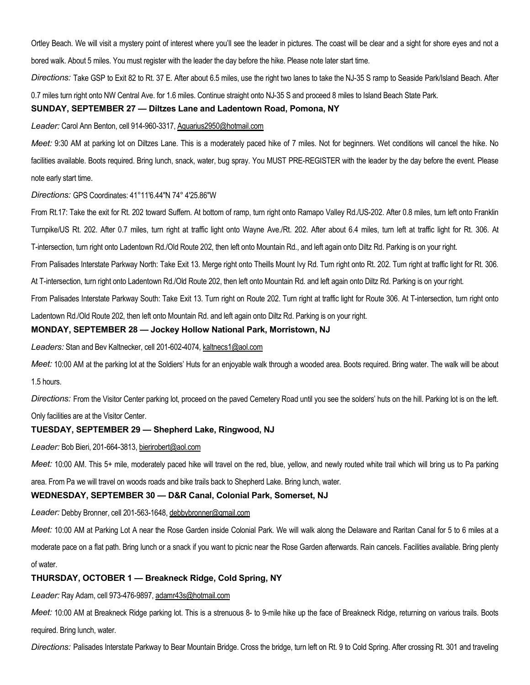Ortley Beach. We will visit a mystery point of interest where you'll see the leader in pictures. The coast will be clear and a sight for shore eyes and not a bored walk. About 5 miles. You must register with the leader the day before the hike. Please note later start time.

Directions: Take GSP to Exit 82 to Rt. 37 E. After about 6.5 miles, use the right two lanes to take the NJ-35 S ramp to Seaside Park/Island Beach. After 0.7 miles turn right onto NW Central Ave. for 1.6 miles. Continue straight onto NJ-35 S and proceed 8 miles to Island Beach State Park.

#### SUNDAY, SEPTEMBER 27 — Diltzes Lane and Ladentown Road, Pomona, NY

#### Leader: Carol Ann Benton, cell 914-960-3317, Aquarius2950@hotmail.com

Meet: 9:30 AM at parking lot on Diltzes Lane. This is a moderately paced hike of 7 miles. Not for beginners. Wet conditions will cancel the hike. No facilities available. Boots required. Bring lunch, snack, water, bug spray. You MUST PRE-REGISTER with the leader by the day before the event. Please note early start time.

Directions: GPS Coordinates: 41°11'6.44"N 74° 4'25.86"W

From Rt.17: Take the exit for Rt. 202 toward Suffern. At bottom of ramp, turn right onto Ramapo Valley Rd./US-202. After 0.8 miles, turn left onto Franklin Turnpike/US Rt. 202. After 0.7 miles, turn right at traffic light onto Wayne Ave./Rt. 202. After about 6.4 miles, turn left at traffic light for Rt. 306. At T-intersection, turn right onto Ladentown Rd./Old Route 202, then left onto Mountain Rd., and left again onto Diltz Rd. Parking is on your right.

From Palisades Interstate Parkway North: Take Exit 13. Merge right onto Theills Mount Ivy Rd. Turn right onto Rt. 202. Turn right at traffic light for Rt. 306.

At T-intersection, turn right onto Ladentown Rd./Old Route 202, then left onto Mountain Rd. and left again onto Diltz Rd. Parking is on your right.

From Palisades Interstate Parkway South: Take Exit 13. Turn right on Route 202. Turn right at traffic light for Route 306. At T-intersection, turn right onto

Ladentown Rd./Old Route 202, then left onto Mountain Rd. and left again onto Diltz Rd. Parking is on your right.

#### MONDAY, SEPTEMBER 28 — Jockey Hollow National Park, Morristown, NJ

Leaders: Stan and Bev Kaltnecker, cell 201-602-4074, kaltnecs1@aol.com

Meet: 10:00 AM at the parking lot at the Soldiers' Huts for an enjoyable walk through a wooded area. Boots required. Bring water. The walk will be about 1.5 hours.

Directions: From the Visitor Center parking lot, proceed on the paved Cemetery Road until you see the solders' huts on the hill. Parking lot is on the left. Only facilities are at the Visitor Center.

#### TUESDAY, SEPTEMBER 29 — Shepherd Lake, Ringwood, NJ

Leader: Bob Bieri, 201-664-3813, bierirobert@aol.com

Meet: 10:00 AM. This 5+ mile, moderately paced hike will travel on the red, blue, yellow, and newly routed white trail which will bring us to Pa parking

area. From Pa we will travel on woods roads and bike trails back to Shepherd Lake. Bring lunch, water.

#### WEDNESDAY, SEPTEMBER 30 — D&R Canal, Colonial Park, Somerset, NJ

Leader: Debby Bronner, cell 201-563-1648, debbybronner@gmail.com

Meet: 10:00 AM at Parking Lot A near the Rose Garden inside Colonial Park. We will walk along the Delaware and Raritan Canal for 5 to 6 miles at a moderate pace on a flat path. Bring lunch or a snack if you want to picnic near the Rose Garden afterwards. Rain cancels. Facilities available. Bring plenty of water.

#### THURSDAY, OCTOBER 1 — Breakneck Ridge, Cold Spring, NY

Leader: Ray Adam, cell 973-476-9897, adamr43s@hotmail.com

Meet: 10:00 AM at Breakneck Ridge parking lot. This is a strenuous 8- to 9-mile hike up the face of Breakneck Ridge, returning on various trails. Boots required. Bring lunch, water.

Directions: Palisades Interstate Parkway to Bear Mountain Bridge. Cross the bridge, turn left on Rt. 9 to Cold Spring. After crossing Rt. 301 and traveling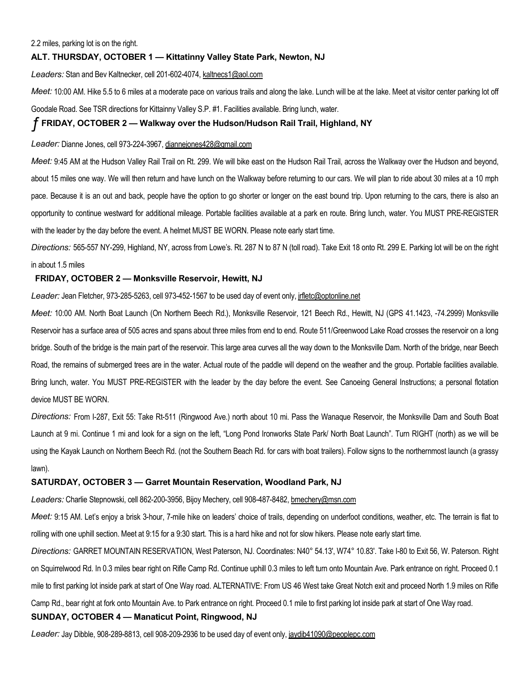#### 2.2 miles, parking lot is on the right.

#### ALT. THURSDAY, OCTOBER 1 — Kittatinny Valley State Park, Newton, NJ

Leaders: Stan and Bev Kaltnecker, cell 201-602-4074, kaltnecs1@aol.com

Meet: 10:00 AM. Hike 5.5 to 6 miles at a moderate pace on various trails and along the lake. Lunch will be at the lake. Meet at visitor center parking lot off

Goodale Road. See TSR directions for Kittainny Valley S.P. #1. Facilities available. Bring lunch, water.

#### ƒ FRIDAY, OCTOBER 2 — Walkway over the Hudson/Hudson Rail Trail, Highland, NY

#### Leader: Dianne Jones, cell 973-224-3967, diannejones428@gmail.com

Meet: 9:45 AM at the Hudson Valley Rail Trail on Rt. 299. We will bike east on the Hudson Rail Trail, across the Walkway over the Hudson and beyond, about 15 miles one way. We will then return and have lunch on the Walkway before returning to our cars. We will plan to ride about 30 miles at a 10 mph pace. Because it is an out and back, people have the option to go shorter or longer on the east bound trip. Upon returning to the cars, there is also an opportunity to continue westward for additional mileage. Portable facilities available at a park en route. Bring lunch, water. You MUST PRE-REGISTER with the leader by the day before the event. A helmet MUST BE WORN. Please note early start time.

Directions: 565-557 NY-299, Highland, NY, across from Lowe's. Rt. 287 N to 87 N (toll road). Take Exit 18 onto Rt. 299 E. Parking lot will be on the right in about 1.5 miles

#### FRIDAY, OCTOBER 2 — Monksville Reservoir, Hewitt, NJ

#### Leader: Jean Fletcher, 973-285-5263, cell 973-452-1567 to be used day of event only, jrfletc@optonline.net

Meet: 10:00 AM. North Boat Launch (On Northern Beech Rd.), Monksville Reservoir, 121 Beech Rd., Hewitt, NJ (GPS 41.1423, -74.2999) Monksville Reservoir has a surface area of 505 acres and spans about three miles from end to end. Route 511/Greenwood Lake Road crosses the reservoir on a long bridge. South of the bridge is the main part of the reservoir. This large area curves all the way down to the Monksville Dam. North of the bridge, near Beech Road, the remains of submerged trees are in the water. Actual route of the paddle will depend on the weather and the group. Portable facilities available. Bring lunch, water. You MUST PRE-REGISTER with the leader by the day before the event. See Canoeing General Instructions; a personal flotation device MUST BE WORN.

Directions: From I-287, Exit 55: Take Rt-511 (Ringwood Ave.) north about 10 mi. Pass the Wanaque Reservoir, the Monksville Dam and South Boat Launch at 9 mi. Continue 1 mi and look for a sign on the left, "Long Pond Ironworks State Park/ North Boat Launch". Turn RIGHT (north) as we will be using the Kayak Launch on Northern Beech Rd. (not the Southern Beach Rd. for cars with boat trailers). Follow signs to the northernmost launch (a grassy lawn).

#### SATURDAY, OCTOBER 3 — Garret Mountain Reservation, Woodland Park, NJ

Leaders: Charlie Stepnowski, cell 862-200-3956, Bijoy Mechery, cell 908-487-8482, bmechery@msn.com

Meet: 9:15 AM. Let's enjoy a brisk 3-hour, 7-mile hike on leaders' choice of trails, depending on underfoot conditions, weather, etc. The terrain is flat to rolling with one uphill section. Meet at 9:15 for a 9:30 start. This is a hard hike and not for slow hikers. Please note early start time.

Directions: GARRET MOUNTAIN RESERVATION, West Paterson, NJ. Coordinates: N40° 54.13', W74° 10.83'. Take I-80 to Exit 56, W. Paterson. Right on Squirrelwood Rd. In 0.3 miles bear right on Rifle Camp Rd. Continue uphill 0.3 miles to left turn onto Mountain Ave. Park entrance on right. Proceed 0.1 mile to first parking lot inside park at start of One Way road. ALTERNATIVE: From US 46 West take Great Notch exit and proceed North 1.9 miles on Rifle Camp Rd., bear right at fork onto Mountain Ave. to Park entrance on right. Proceed 0.1 mile to first parking lot inside park at start of One Way road.

#### SUNDAY, OCTOBER 4 — Manaticut Point, Ringwood, NJ

Leader: Jay Dibble, 908-289-8813, cell 908-209-2936 to be used day of event only, jaydib41090@peoplepc.com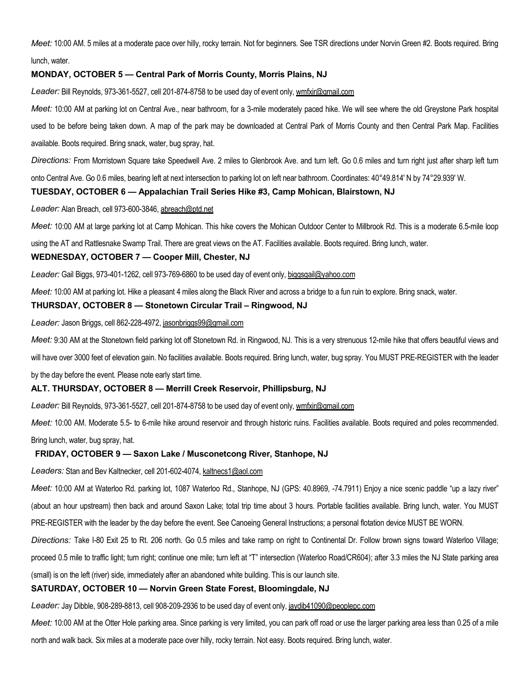Meet: 10:00 AM. 5 miles at a moderate pace over hilly, rocky terrain. Not for beginners. See TSR directions under Norvin Green #2. Boots required. Bring lunch, water.

#### MONDAY, OCTOBER 5 — Central Park of Morris County, Morris Plains, NJ

Leader: Bill Reynolds, 973-361-5527, cell 201-874-8758 to be used day of event only, wmfxir@gmail.com

Meet: 10:00 AM at parking lot on Central Ave., near bathroom, for a 3-mile moderately paced hike. We will see where the old Greystone Park hospital used to be before being taken down. A map of the park may be downloaded at Central Park of Morris County and then Central Park Map. Facilities available. Boots required. Bring snack, water, bug spray, hat.

Directions: From Morristown Square take Speedwell Ave. 2 miles to Glenbrook Ave. and turn left. Go 0.6 miles and turn right just after sharp left turn

onto Central Ave. Go 0.6 miles, bearing left at next intersection to parking lot on left near bathroom. Coordinates: 40°49.814' N by 74°29.939' W.

#### TUESDAY, OCTOBER 6 — Appalachian Trail Series Hike #3, Camp Mohican, Blairstown, NJ

Leader: Alan Breach, cell 973-600-3846, abreach@ptd.net

Meet: 10:00 AM at large parking lot at Camp Mohican. This hike covers the Mohican Outdoor Center to Millbrook Rd. This is a moderate 6.5-mile loop

using the AT and Rattlesnake Swamp Trail. There are great views on the AT. Facilities available. Boots required. Bring lunch, water.

#### WEDNESDAY, OCTOBER 7 — Cooper Mill, Chester, NJ

Leader: Gail Biggs, 973-401-1262, cell 973-769-6860 to be used day of event only, biggsgail@yahoo.com

Meet: 10:00 AM at parking lot. Hike a pleasant 4 miles along the Black River and across a bridge to a fun ruin to explore. Bring snack, water.

# THURSDAY, OCTOBER 8 — Stonetown Circular Trail – Ringwood, NJ

Leader: Jason Briggs, cell 862-228-4972, jasonbriggs99@gmail.com

Meet: 9:30 AM at the Stonetown field parking lot off Stonetown Rd. in Ringwood, NJ. This is a very strenuous 12-mile hike that offers beautiful views and

will have over 3000 feet of elevation gain. No facilities available. Boots required. Bring lunch, water, bug spray. You MUST PRE-REGISTER with the leader

by the day before the event. Please note early start time.

#### ALT. THURSDAY, OCTOBER 8 — Merrill Creek Reservoir, Phillipsburg, NJ

Leader: Bill Reynolds, 973-361-5527, cell 201-874-8758 to be used day of event only, wmfxir@gmail.com

Meet: 10:00 AM. Moderate 5.5- to 6-mile hike around reservoir and through historic ruins. Facilities available. Boots required and poles recommended. Bring lunch, water, bug spray, hat.

#### FRIDAY, OCTOBER 9 — Saxon Lake / Musconetcong River, Stanhope, NJ

Leaders: Stan and Bev Kaltnecker, cell 201-602-4074, kaltnecs1@aol.com

Meet: 10:00 AM at Waterloo Rd. parking lot, 1087 Waterloo Rd., Stanhope, NJ (GPS: 40.8969, -74.7911) Enjoy a nice scenic paddle "up a lazy river" (about an hour upstream) then back and around Saxon Lake; total trip time about 3 hours. Portable facilities available. Bring lunch, water. You MUST

PRE-REGISTER with the leader by the day before the event. See Canoeing General Instructions; a personal flotation device MUST BE WORN.

Directions: Take I-80 Exit 25 to Rt. 206 north. Go 0.5 miles and take ramp on right to Continental Dr. Follow brown signs toward Waterloo Village;

proceed 0.5 mile to traffic light; turn right; continue one mile; turn left at "T" intersection (Waterloo Road/CR604); after 3.3 miles the NJ State parking area

(small) is on the left (river) side, immediately after an abandoned white building. This is our launch site.

#### SATURDAY, OCTOBER 10 — Norvin Green State Forest, Bloomingdale, NJ

Leader: Jay Dibble, 908-289-8813, cell 908-209-2936 to be used day of event only, jaydib41090@peoplepc.com

Meet: 10:00 AM at the Otter Hole parking area. Since parking is very limited, you can park off road or use the larger parking area less than 0.25 of a mile north and walk back. Six miles at a moderate pace over hilly, rocky terrain. Not easy. Boots required. Bring lunch, water.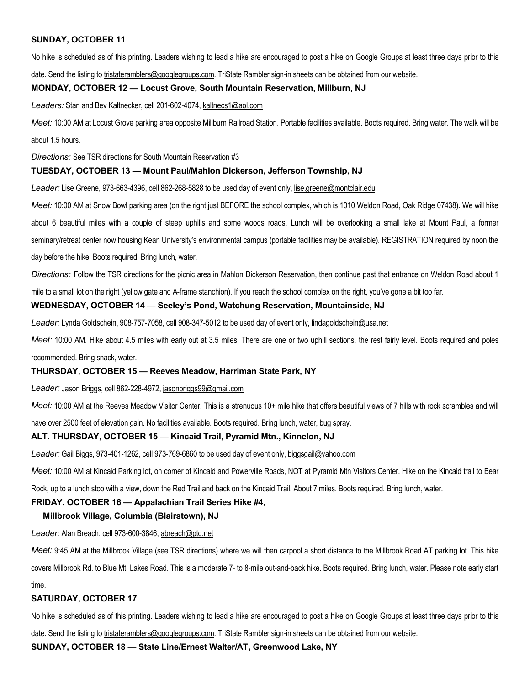# SUNDAY, OCTOBER 11

No hike is scheduled as of this printing. Leaders wishing to lead a hike are encouraged to post a hike on Google Groups at least three days prior to this date. Send the listing to tristateramblers@googlegroups.com. TriState Rambler sign-in sheets can be obtained from our website.

# MONDAY, OCTOBER 12 — Locust Grove, South Mountain Reservation, Millburn, NJ

Leaders: Stan and Bev Kaltnecker, cell 201-602-4074, kaltnecs1@aol.com

Meet: 10:00 AM at Locust Grove parking area opposite Millburn Railroad Station. Portable facilities available. Boots required. Bring water. The walk will be about 1.5 hours.

Directions: See TSR directions for South Mountain Reservation #3

#### TUESDAY, OCTOBER 13 — Mount Paul/Mahlon Dickerson, Jefferson Township, NJ

Leader: Lise Greene, 973-663-4396, cell 862-268-5828 to be used day of event only, lise.greene@montclair.edu

Meet: 10:00 AM at Snow Bowl parking area (on the right just BEFORE the school complex, which is 1010 Weldon Road, Oak Ridge 07438). We will hike about 6 beautiful miles with a couple of steep uphills and some woods roads. Lunch will be overlooking a small lake at Mount Paul, a former seminary/retreat center now housing Kean University's environmental campus (portable facilities may be available). REGISTRATION required by noon the day before the hike. Boots required. Bring lunch, water.

Directions: Follow the TSR directions for the picnic area in Mahlon Dickerson Reservation, then continue past that entrance on Weldon Road about 1

mile to a small lot on the right (yellow gate and A-frame stanchion). If you reach the school complex on the right, you've gone a bit too far.

#### WEDNESDAY, OCTOBER 14 — Seeley's Pond, Watchung Reservation, Mountainside, NJ

Leader: Lynda Goldschein, 908-757-7058, cell 908-347-5012 to be used day of event only, lindagoldschein@usa.net

Meet: 10:00 AM. Hike about 4.5 miles with early out at 3.5 miles. There are one or two uphill sections, the rest fairly level. Boots required and poles recommended. Bring snack, water.

#### THURSDAY, OCTOBER 15 — Reeves Meadow, Harriman State Park, NY

Leader: Jason Briggs, cell 862-228-4972, jasonbriggs99@gmail.com

Meet: 10:00 AM at the Reeves Meadow Visitor Center. This is a strenuous 10+ mile hike that offers beautiful views of 7 hills with rock scrambles and will

have over 2500 feet of elevation gain. No facilities available. Boots required. Bring lunch, water, bug spray.

#### ALT. THURSDAY, OCTOBER 15 — Kincaid Trail, Pyramid Mtn., Kinnelon, NJ

Leader: Gail Biggs, 973-401-1262, cell 973-769-6860 to be used day of event only, biggsgail@yahoo.com

Meet: 10:00 AM at Kincaid Parking lot, on comer of Kincaid and Powerville Roads, NOT at Pyramid Mtn Visitors Center. Hike on the Kincaid trail to Bear

Rock, up to a lunch stop with a view, down the Red Trail and back on the Kincaid Trail. About 7 miles. Boots required. Bring lunch, water.

#### FRIDAY, OCTOBER 16 — Appalachian Trail Series Hike #4,

# Millbrook Village, Columbia (Blairstown), NJ

Leader: Alan Breach, cell 973-600-3846, abreach@ptd.net

Meet: 9:45 AM at the Millbrook Village (see TSR directions) where we will then carpool a short distance to the Millbrook Road AT parking lot. This hike covers Millbrook Rd. to Blue Mt. Lakes Road. This is a moderate 7- to 8-mile out-and-back hike. Boots required. Bring lunch, water. Please note early start

time.

#### SATURDAY, OCTOBER 17

No hike is scheduled as of this printing. Leaders wishing to lead a hike are encouraged to post a hike on Google Groups at least three days prior to this

date. Send the listing to tristateramblers@googlegroups.com. TriState Rambler sign-in sheets can be obtained from our website.

SUNDAY, OCTOBER 18 — State Line/Ernest Walter/AT, Greenwood Lake, NY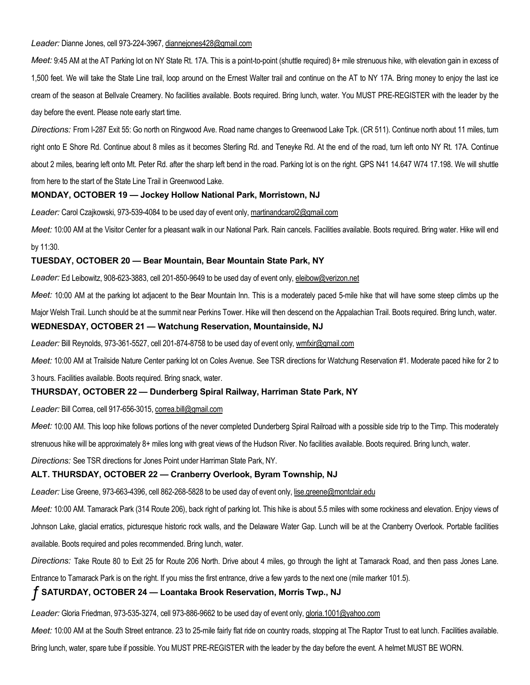#### Leader: Dianne Jones, cell 973-224-3967, dianneiones428@gmail.com

Meet: 9:45 AM at the AT Parking lot on NY State Rt. 17A. This is a point-to-point (shuttle required) 8+ mile strenuous hike, with elevation gain in excess of 1,500 feet. We will take the State Line trail, loop around on the Ernest Walter trail and continue on the AT to NY 17A. Bring money to enjoy the last ice cream of the season at Bellvale Creamery. No facilities available. Boots required. Bring lunch, water. You MUST PRE-REGISTER with the leader by the day before the event. Please note early start time.

Directions: From I-287 Exit 55: Go north on Ringwood Ave. Road name changes to Greenwood Lake Tpk. (CR 511). Continue north about 11 miles, turn right onto E Shore Rd. Continue about 8 miles as it becomes Sterling Rd. and Teneyke Rd. At the end of the road, turn left onto NY Rt. 17A. Continue about 2 miles, bearing left onto Mt. Peter Rd. after the sharp left bend in the road. Parking lot is on the right. GPS N41 14.647 W74 17.198. We will shuttle from here to the start of the State Line Trail in Greenwood Lake.

#### MONDAY, OCTOBER 19 — Jockey Hollow National Park, Morristown, NJ

Leader: Carol Czajkowski, 973-539-4084 to be used day of event only, martinandcarol2@gmail.com

Meet: 10:00 AM at the Visitor Center for a pleasant walk in our National Park. Rain cancels. Facilities available. Boots required. Bring water. Hike will end by 11:30.

#### TUESDAY, OCTOBER 20 — Bear Mountain, Bear Mountain State Park, NY

Leader: Ed Leibowitz, 908-623-3883, cell 201-850-9649 to be used day of event only, eleibow@verizon.net

Meet: 10:00 AM at the parking lot adjacent to the Bear Mountain Inn. This is a moderately paced 5-mile hike that will have some steep climbs up the Major Welsh Trail. Lunch should be at the summit near Perkins Tower. Hike will then descend on the Appalachian Trail. Boots required. Bring lunch, water. WEDNESDAY, OCTOBER 21 — Watchung Reservation, Mountainside, NJ

Leader: Bill Reynolds, 973-361-5527, cell 201-874-8758 to be used day of event only, wmfxir@gmail.com

Meet: 10:00 AM at Trailside Nature Center parking lot on Coles Avenue. See TSR directions for Watchung Reservation #1. Moderate paced hike for 2 to

3 hours. Facilities available. Boots required. Bring snack, water.

#### THURSDAY, OCTOBER 22 — Dunderberg Spiral Railway, Harriman State Park, NY

Leader: Bill Correa, cell 917-656-3015, correa.bill@gmail.com

Meet: 10:00 AM. This loop hike follows portions of the never completed Dunderberg Spiral Railroad with a possible side trip to the Timp. This moderately

strenuous hike will be approximately 8+ miles long with great views of the Hudson River. No facilities available. Boots required. Bring lunch, water.

Directions: See TSR directions for Jones Point under Harriman State Park, NY.

#### ALT. THURSDAY, OCTOBER 22 — Cranberry Overlook, Byram Township, NJ

Leader: Lise Greene, 973-663-4396, cell 862-268-5828 to be used day of event only, lise.greene@montclair.edu

Meet: 10:00 AM. Tamarack Park (314 Route 206), back right of parking lot. This hike is about 5.5 miles with some rockiness and elevation. Enjoy views of Johnson Lake, glacial erratics, picturesque historic rock walls, and the Delaware Water Gap. Lunch will be at the Cranberry Overlook. Portable facilities available. Boots required and poles recommended. Bring lunch, water.

Directions: Take Route 80 to Exit 25 for Route 206 North. Drive about 4 miles, go through the light at Tamarack Road, and then pass Jones Lane.

Entrance to Tamarack Park is on the right. If you miss the first entrance, drive a few yards to the next one (mile marker 101.5).

# ƒ SATURDAY, OCTOBER 24 — Loantaka Brook Reservation, Morris Twp., NJ

Leader: Gloria Friedman, 973-535-3274, cell 973-886-9662 to be used day of event only, gloria.1001@yahoo.com

Meet: 10:00 AM at the South Street entrance. 23 to 25-mile fairly flat ride on country roads, stopping at The Raptor Trust to eat lunch. Facilities available.

Bring lunch, water, spare tube if possible. You MUST PRE-REGISTER with the leader by the day before the event. A helmet MUST BE WORN.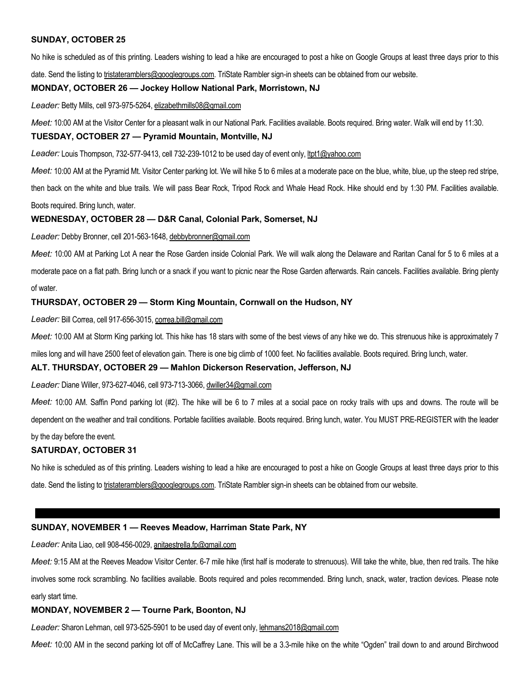#### SUNDAY, OCTOBER 25

No hike is scheduled as of this printing. Leaders wishing to lead a hike are encouraged to post a hike on Google Groups at least three days prior to this

date. Send the listing to tristateramblers@googlegroups.com. TriState Rambler sign-in sheets can be obtained from our website.

#### MONDAY, OCTOBER 26 — Jockey Hollow National Park, Morristown, NJ

Leader: Betty Mills, cell 973-975-5264, elizabethmills08@gmail.com

Meet: 10:00 AM at the Visitor Center for a pleasant walk in our National Park. Facilities available. Boots required. Bring water. Walk will end by 11:30.

#### TUESDAY, OCTOBER 27 — Pyramid Mountain, Montville, NJ

Leader: Louis Thompson, 732-577-9413, cell 732-239-1012 to be used day of event only, ltpt1@yahoo.com

Meet: 10:00 AM at the Pyramid Mt. Visitor Center parking lot. We will hike 5 to 6 miles at a moderate pace on the blue, white, blue, up the steep red stripe,

then back on the white and blue trails. We will pass Bear Rock, Tripod Rock and Whale Head Rock. Hike should end by 1:30 PM. Facilities available. Boots required. Bring lunch, water.

#### WEDNESDAY, OCTOBER 28 — D&R Canal, Colonial Park, Somerset, NJ

Leader: Debby Bronner, cell 201-563-1648, debbybronner@gmail.com

Meet: 10:00 AM at Parking Lot A near the Rose Garden inside Colonial Park. We will walk along the Delaware and Raritan Canal for 5 to 6 miles at a moderate pace on a flat path. Bring lunch or a snack if you want to picnic near the Rose Garden afterwards. Rain cancels. Facilities available. Bring plenty of water.

#### THURSDAY, OCTOBER 29 — Storm King Mountain, Cornwall on the Hudson, NY

Leader: Bill Correa, cell 917-656-3015, correa.bill@gmail.com

Meet: 10:00 AM at Storm King parking lot. This hike has 18 stars with some of the best views of any hike we do. This strenuous hike is approximately 7

miles long and will have 2500 feet of elevation gain. There is one big climb of 1000 feet. No facilities available. Boots required. Bring lunch, water.

#### ALT. THURSDAY, OCTOBER 29 — Mahlon Dickerson Reservation, Jefferson, NJ

Leader: Diane Willer, 973-627-4046, cell 973-713-3066, dwiller34@gmail.com

Meet: 10:00 AM. Saffin Pond parking lot (#2). The hike will be 6 to 7 miles at a social pace on rocky trails with ups and downs. The route will be dependent on the weather and trail conditions. Portable facilities available. Boots required. Bring lunch, water. You MUST PRE-REGISTER with the leader

by the day before the event.

#### SATURDAY, OCTOBER 31

No hike is scheduled as of this printing. Leaders wishing to lead a hike are encouraged to post a hike on Google Groups at least three days prior to this date. Send the listing to tristateramblers@googlegroups.com. TriState Rambler sign-in sheets can be obtained from our website.

#### SUNDAY, NOVEMBER 1 — Reeves Meadow, Harriman State Park, NY

Leader: Anita Liao, cell 908-456-0029, anitaestrella.fp@gmail.com

Meet: 9:15 AM at the Reeves Meadow Visitor Center. 6-7 mile hike (first half is moderate to strenuous). Will take the white, blue, then red trails. The hike involves some rock scrambling. No facilities available. Boots required and poles recommended. Bring lunch, snack, water, traction devices. Please note early start time.

#### MONDAY, NOVEMBER 2 — Tourne Park, Boonton, NJ

Leader: Sharon Lehman, cell 973-525-5901 to be used day of event only, lehmans2018@gmail.com

Meet: 10:00 AM in the second parking lot off of McCaffrey Lane. This will be a 3.3-mile hike on the white "Ogden" trail down to and around Birchwood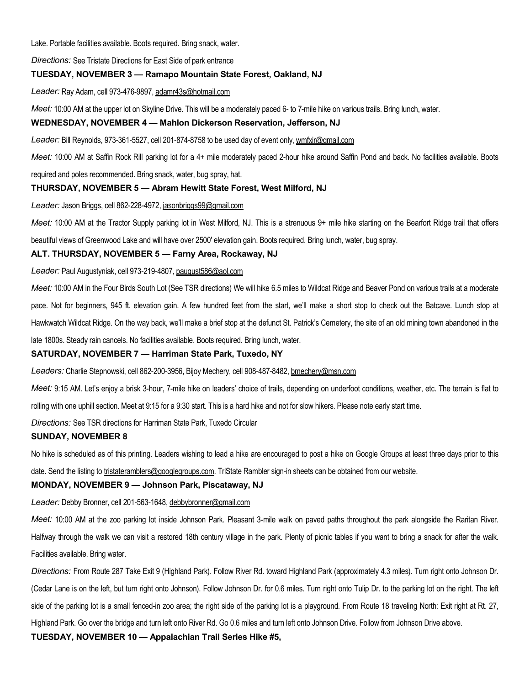Lake. Portable facilities available. Boots required. Bring snack, water.

Directions: See Tristate Directions for East Side of park entrance

#### TUESDAY, NOVEMBER 3 — Ramapo Mountain State Forest, Oakland, NJ

Leader: Ray Adam, cell 973-476-9897, adamr43s@hotmail.com

Meet: 10:00 AM at the upper lot on Skyline Drive. This will be a moderately paced 6- to 7-mile hike on various trails. Bring lunch, water.

# WEDNESDAY, NOVEMBER 4 — Mahlon Dickerson Reservation, Jefferson, NJ

Leader: Bill Reynolds, 973-361-5527, cell 201-874-8758 to be used day of event only, wmfxir@gmail.com

Meet: 10:00 AM at Saffin Rock Rill parking lot for a 4+ mile moderately paced 2-hour hike around Saffin Pond and back. No facilities available. Boots

required and poles recommended. Bring snack, water, bug spray, hat.

#### THURSDAY, NOVEMBER 5 — Abram Hewitt State Forest, West Milford, NJ

Leader: Jason Briggs, cell 862-228-4972, jasonbriggs99@gmail.com

Meet: 10:00 AM at the Tractor Supply parking lot in West Milford, NJ. This is a strenuous 9+ mile hike starting on the Bearfort Ridge trail that offers

beautiful views of Greenwood Lake and will have over 2500' elevation gain. Boots required. Bring lunch, water, bug spray.

#### ALT. THURSDAY, NOVEMBER 5 — Farny Area, Rockaway, NJ

Leader: Paul Augustyniak, cell 973-219-4807, paugust586@aol.com

Meet: 10:00 AM in the Four Birds South Lot (See TSR directions) We will hike 6.5 miles to Wildcat Ridge and Beaver Pond on various trails at a moderate pace. Not for beginners, 945 ft. elevation gain. A few hundred feet from the start, we'll make a short stop to check out the Batcave. Lunch stop at Hawkwatch Wildcat Ridge. On the way back, we'll make a brief stop at the defunct St. Patrick's Cemetery, the site of an old mining town abandoned in the late 1800s. Steady rain cancels. No facilities available. Boots required. Bring lunch, water.

#### SATURDAY, NOVEMBER 7 — Harriman State Park, Tuxedo, NY

Leaders: Charlie Stepnowski, cell 862-200-3956, Bijoy Mechery, cell 908-487-8482, bmechery@msn.com

Meet: 9:15 AM. Let's enjoy a brisk 3-hour, 7-mile hike on leaders' choice of trails, depending on underfoot conditions, weather, etc. The terrain is flat to rolling with one uphill section. Meet at 9:15 for a 9:30 start. This is a hard hike and not for slow hikers. Please note early start time.

Directions: See TSR directions for Harriman State Park, Tuxedo Circular

#### SUNDAY, NOVEMBER 8

No hike is scheduled as of this printing. Leaders wishing to lead a hike are encouraged to post a hike on Google Groups at least three days prior to this

date. Send the listing to tristateramblers@googlegroups.com. TriState Rambler sign-in sheets can be obtained from our website.

# MONDAY, NOVEMBER 9 — Johnson Park, Piscataway, NJ

Leader: Debby Bronner, cell 201-563-1648, debbybronner@gmail.com

Meet: 10:00 AM at the zoo parking lot inside Johnson Park. Pleasant 3-mile walk on paved paths throughout the park alongside the Raritan River. Halfway through the walk we can visit a restored 18th century village in the park. Plenty of picnic tables if you want to bring a snack for after the walk. Facilities available. Bring water.

Directions: From Route 287 Take Exit 9 (Highland Park). Follow River Rd. toward Highland Park (approximately 4.3 miles). Turn right onto Johnson Dr. (Cedar Lane is on the left, but turn right onto Johnson). Follow Johnson Dr. for 0.6 miles. Turn right onto Tulip Dr. to the parking lot on the right. The left side of the parking lot is a small fenced-in zoo area; the right side of the parking lot is a playground. From Route 18 traveling North: Exit right at Rt. 27, Highland Park. Go over the bridge and turn left onto River Rd. Go 0.6 miles and turn left onto Johnson Drive. Follow from Johnson Drive above. TUESDAY, NOVEMBER 10 — Appalachian Trail Series Hike #5,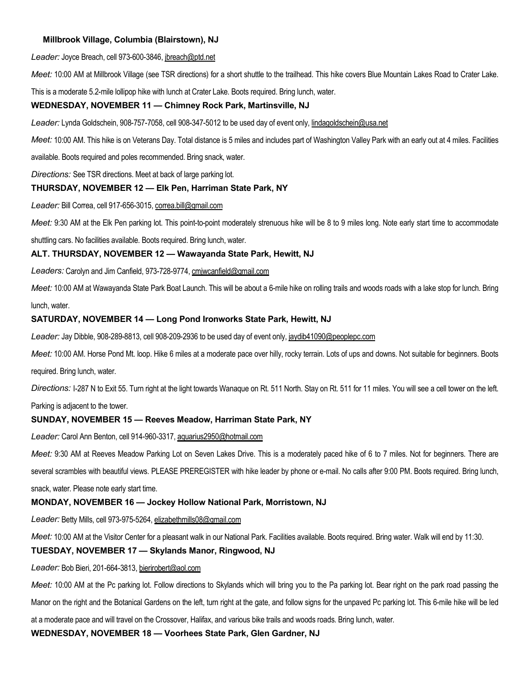# Millbrook Village, Columbia (Blairstown), NJ

Leader: Joyce Breach, cell 973-600-3846, jbreach@ptd.net

Meet: 10:00 AM at Millbrook Village (see TSR directions) for a short shuttle to the trailhead. This hike covers Blue Mountain Lakes Road to Crater Lake.

This is a moderate 5.2-mile lollipop hike with lunch at Crater Lake. Boots required. Bring lunch, water.

#### WEDNESDAY, NOVEMBER 11 — Chimney Rock Park, Martinsville, NJ

Leader: Lynda Goldschein, 908-757-7058, cell 908-347-5012 to be used day of event only, lindagoldschein@usa.net

Meet: 10:00 AM. This hike is on Veterans Day. Total distance is 5 miles and includes part of Washington Valley Park with an early out at 4 miles. Facilities

available. Boots required and poles recommended. Bring snack, water.

Directions: See TSR directions. Meet at back of large parking lot.

# THURSDAY, NOVEMBER 12 — Elk Pen, Harriman State Park, NY

Leader: Bill Correa, cell 917-656-3015, correa.bill@gmail.com

Meet: 9:30 AM at the Elk Pen parking lot. This point-to-point moderately strenuous hike will be 8 to 9 miles long. Note early start time to accommodate

shuttling cars. No facilities available. Boots required. Bring lunch, water.

#### ALT. THURSDAY, NOVEMBER 12 — Wawayanda State Park, Hewitt, NJ

Leaders: Carolyn and Jim Canfield, 973-728-9774, cmiwcanfield@gmail.com

Meet: 10:00 AM at Wawayanda State Park Boat Launch. This will be about a 6-mile hike on rolling trails and woods roads with a lake stop for lunch. Bring lunch, water.

#### SATURDAY, NOVEMBER 14 — Long Pond Ironworks State Park, Hewitt, NJ

Leader: Jay Dibble, 908-289-8813, cell 908-209-2936 to be used day of event only, jaydib41090@peoplepc.com

Meet: 10:00 AM. Horse Pond Mt. loop. Hike 6 miles at a moderate pace over hilly, rocky terrain. Lots of ups and downs. Not suitable for beginners. Boots required. Bring lunch, water.

Directions: I-287 N to Exit 55. Turn right at the light towards Wanaque on Rt. 511 North. Stay on Rt. 511 for 11 miles. You will see a cell tower on the left.

Parking is adjacent to the tower.

#### SUNDAY, NOVEMBER 15 — Reeves Meadow, Harriman State Park, NY

Leader: Carol Ann Benton, cell 914-960-3317, aquarius2950@hotmail.com

Meet: 9:30 AM at Reeves Meadow Parking Lot on Seven Lakes Drive. This is a moderately paced hike of 6 to 7 miles. Not for beginners. There are several scrambles with beautiful views. PLEASE PREREGISTER with hike leader by phone or e-mail. No calls after 9:00 PM. Boots required. Bring lunch, snack, water. Please note early start time.

#### MONDAY, NOVEMBER 16 — Jockey Hollow National Park, Morristown, NJ

Leader: Betty Mills, cell 973-975-5264, elizabethmills08@gmail.com

Meet: 10:00 AM at the Visitor Center for a pleasant walk in our National Park. Facilities available. Boots required. Bring water. Walk will end by 11:30.

#### TUESDAY, NOVEMBER 17 — Skylands Manor, Ringwood, NJ

Leader: Bob Bieri, 201-664-3813, bierirobert@aol.com

Meet: 10:00 AM at the Pc parking lot. Follow directions to Skylands which will bring you to the Pa parking lot. Bear right on the park road passing the Manor on the right and the Botanical Gardens on the left, turn right at the gate, and follow signs for the unpaved Pc parking lot. This 6-mile hike will be led at a moderate pace and will travel on the Crossover, Halifax, and various bike trails and woods roads. Bring lunch, water.

WEDNESDAY, NOVEMBER 18 — Voorhees State Park, Glen Gardner, NJ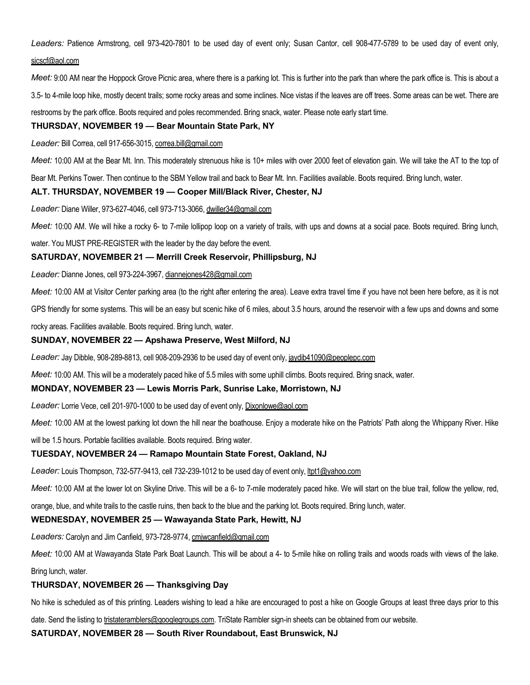Leaders: Patience Armstrong, cell 973-420-7801 to be used day of event only; Susan Cantor, cell 908-477-5789 to be used day of event only, sjcscf@aol.com

Meet: 9:00 AM near the Hoppock Grove Picnic area, where there is a parking lot. This is further into the park than where the park office is. This is about a 3.5- to 4-mile loop hike, mostly decent trails; some rocky areas and some inclines. Nice vistas if the leaves are off trees. Some areas can be wet. There are restrooms by the park office. Boots required and poles recommended. Bring snack, water. Please note early start time.

# THURSDAY, NOVEMBER 19 — Bear Mountain State Park, NY

Leader: Bill Correa, cell 917-656-3015, correa.bill@gmail.com

Meet: 10:00 AM at the Bear Mt. Inn. This moderately strenuous hike is 10+ miles with over 2000 feet of elevation gain. We will take the AT to the top of

Bear Mt. Perkins Tower. Then continue to the SBM Yellow trail and back to Bear Mt. Inn. Facilities available. Boots required. Bring lunch, water.

#### ALT. THURSDAY, NOVEMBER 19 — Cooper Mill/Black River, Chester, NJ

Leader: Diane Willer, 973-627-4046, cell 973-713-3066, dwiller34@gmail.com

Meet: 10:00 AM. We will hike a rocky 6- to 7-mile lollipop loop on a variety of trails, with ups and downs at a social pace. Boots required. Bring lunch,

water. You MUST PRE-REGISTER with the leader by the day before the event.

#### SATURDAY, NOVEMBER 21 — Merrill Creek Reservoir, Phillipsburg, NJ

Leader: Dianne Jones, cell 973-224-3967, diannejones428@gmail.com

Meet: 10:00 AM at Visitor Center parking area (to the right after entering the area). Leave extra travel time if you have not been here before, as it is not

GPS friendly for some systems. This will be an easy but scenic hike of 6 miles, about 3.5 hours, around the reservoir with a few ups and downs and some

rocky areas. Facilities available. Boots required. Bring lunch, water.

#### SUNDAY, NOVEMBER 22 — Apshawa Preserve, West Milford, NJ

Leader: Jay Dibble, 908-289-8813, cell 908-209-2936 to be used day of event only, jaydib41090@peoplepc.com

Meet: 10:00 AM. This will be a moderately paced hike of 5.5 miles with some uphill climbs. Boots required. Bring snack, water.

#### MONDAY, NOVEMBER 23 — Lewis Morris Park, Sunrise Lake, Morristown, NJ

Leader: Lorrie Vece, cell 201-970-1000 to be used day of event only, Dixonlowe@aol.com

Meet: 10:00 AM at the lowest parking lot down the hill near the boathouse. Enjoy a moderate hike on the Patriots' Path along the Whippany River. Hike

will be 1.5 hours. Portable facilities available. Boots required. Bring water.

#### TUESDAY, NOVEMBER 24 — Ramapo Mountain State Forest, Oakland, NJ

Leader: Louis Thompson, 732-577-9413, cell 732-239-1012 to be used day of event only, ltpt1@yahoo.com

Meet: 10:00 AM at the lower lot on Skyline Drive. This will be a 6- to 7-mile moderately paced hike. We will start on the blue trail, follow the yellow, red,

orange, blue, and white trails to the castle ruins, then back to the blue and the parking lot. Boots required. Bring lunch, water.

# WEDNESDAY, NOVEMBER 25 — Wawayanda State Park, Hewitt, NJ

Leaders: Carolyn and Jim Canfield, 973-728-9774, cmiwcanfield@gmail.com

Meet: 10:00 AM at Wawayanda State Park Boat Launch. This will be about a 4- to 5-mile hike on rolling trails and woods roads with views of the lake.

Bring lunch, water.

# THURSDAY, NOVEMBER 26 — Thanksgiving Day

No hike is scheduled as of this printing. Leaders wishing to lead a hike are encouraged to post a hike on Google Groups at least three days prior to this

date. Send the listing to tristateramblers@googlegroups.com. TriState Rambler sign-in sheets can be obtained from our website.

SATURDAY, NOVEMBER 28 — South River Roundabout, East Brunswick, NJ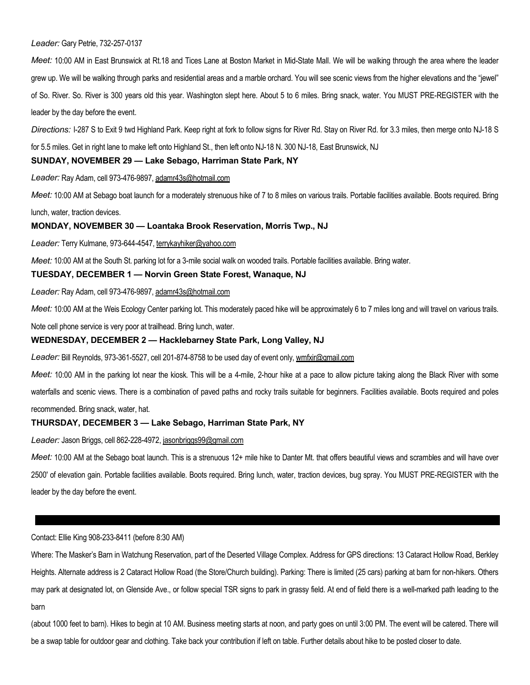#### Leader: Gary Petrie, 732-257-0137

Meet: 10:00 AM in East Brunswick at Rt.18 and Tices Lane at Boston Market in Mid-State Mall. We will be walking through the area where the leader grew up. We will be walking through parks and residential areas and a marble orchard. You will see scenic views from the higher elevations and the "jewel" of So. River. So. River is 300 years old this year. Washington slept here. About 5 to 6 miles. Bring snack, water. You MUST PRE-REGISTER with the leader by the day before the event.

Directions: I-287 S to Exit 9 twd Highland Park. Keep right at fork to follow signs for River Rd. Stay on River Rd. for 3.3 miles, then merge onto NJ-18 S

for 5.5 miles. Get in right lane to make left onto Highland St., then left onto NJ-18 N. 300 NJ-18, East Brunswick, NJ

#### SUNDAY, NOVEMBER 29 — Lake Sebago, Harriman State Park, NY

Leader: Ray Adam, cell 973-476-9897, adamr43s@hotmail.com

Meet: 10:00 AM at Sebago boat launch for a moderately strenuous hike of 7 to 8 miles on various trails. Portable facilities available. Boots required. Bring lunch, water, traction devices.

MONDAY, NOVEMBER 30 — Loantaka Brook Reservation, Morris Twp., NJ

Leader: Terry Kulmane, 973-644-4547, terrykayhiker@yahoo.com

Meet: 10:00 AM at the South St. parking lot for a 3-mile social walk on wooded trails. Portable facilities available. Bring water.

#### TUESDAY, DECEMBER 1 — Norvin Green State Forest, Wanaque, NJ

Leader: Ray Adam, cell 973-476-9897, adamr43s@hotmail.com

Meet: 10:00 AM at the Weis Ecology Center parking lot. This moderately paced hike will be approximately 6 to 7 miles long and will travel on various trails.

Note cell phone service is very poor at trailhead. Bring lunch, water.

#### WEDNESDAY, DECEMBER 2 — Hacklebarney State Park, Long Valley, NJ

Leader: Bill Reynolds, 973-361-5527, cell 201-874-8758 to be used day of event only, wmfxir@gmail.com

Meet: 10:00 AM in the parking lot near the kiosk. This will be a 4-mile, 2-hour hike at a pace to allow picture taking along the Black River with some waterfalls and scenic views. There is a combination of paved paths and rocky trails suitable for beginners. Facilities available. Boots required and poles recommended. Bring snack, water, hat.

#### THURSDAY, DECEMBER 3 — Lake Sebago, Harriman State Park, NY

Leader: Jason Briggs, cell 862-228-4972, jasonbriggs99@gmail.com

Meet: 10:00 AM at the Sebago boat launch. This is a strenuous 12+ mile hike to Danter Mt. that offers beautiful views and scrambles and will have over 2500' of elevation gain. Portable facilities available. Boots required. Bring lunch, water, traction devices, bug spray. You MUST PRE-REGISTER with the leader by the day before the event.

#### Contact: Ellie King 908-233-8411 (before 8:30 AM)

Where: The Masker's Barn in Watchung Reservation, part of the Deserted Village Complex. Address for GPS directions: 13 Cataract Hollow Road, Berkley Heights. Alternate address is 2 Cataract Hollow Road (the Store/Church building). Parking: There is limited (25 cars) parking at barn for non-hikers. Others may park at designated lot, on Glenside Ave., or follow special TSR signs to park in grassy field. At end of field there is a well-marked path leading to the barn

(about 1000 feet to barn). Hikes to begin at 10 AM. Business meeting starts at noon, and party goes on until 3:00 PM. The event will be catered. There will be a swap table for outdoor gear and clothing. Take back your contribution if left on table. Further details about hike to be posted closer to date.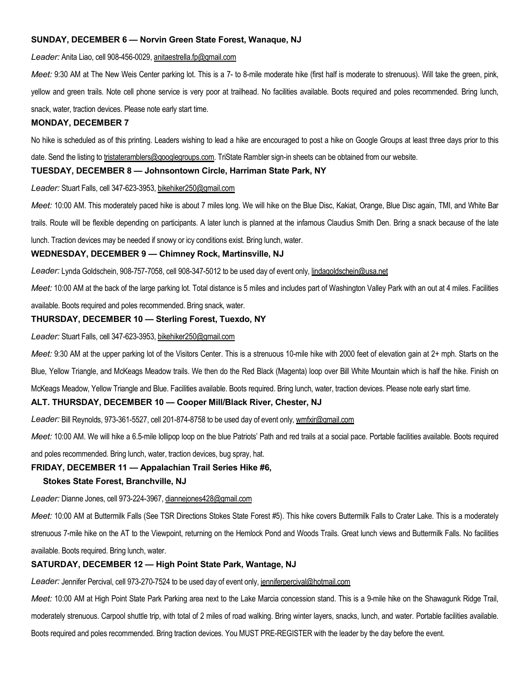#### SUNDAY, DECEMBER 6 — Norvin Green State Forest, Wanaque, NJ

Leader: Anita Liao, cell 908-456-0029, anitaestrella.fp@gmail.com

Meet: 9:30 AM at The New Weis Center parking lot. This is a 7- to 8-mile moderate hike (first half is moderate to strenuous). Will take the green, pink,

yellow and green trails. Note cell phone service is very poor at trailhead. No facilities available. Boots required and poles recommended. Bring lunch,

snack, water, traction devices. Please note early start time.

#### MONDAY, DECEMBER 7

No hike is scheduled as of this printing. Leaders wishing to lead a hike are encouraged to post a hike on Google Groups at least three days prior to this

date. Send the listing to tristateramblers@googlegroups.com. TriState Rambler sign-in sheets can be obtained from our website.

#### TUESDAY, DECEMBER 8 — Johnsontown Circle, Harriman State Park, NY

Leader: Stuart Falls, cell 347-623-3953, bikehiker250@gmail.com

Meet: 10:00 AM. This moderately paced hike is about 7 miles long. We will hike on the Blue Disc, Kakiat, Orange, Blue Disc again, TMI, and White Bar

trails. Route will be flexible depending on participants. A later lunch is planned at the infamous Claudius Smith Den. Bring a snack because of the late

lunch. Traction devices may be needed if snowy or icy conditions exist. Bring lunch, water.

#### WEDNESDAY, DECEMBER 9 — Chimney Rock, Martinsville, NJ

Leader: Lynda Goldschein, 908-757-7058, cell 908-347-5012 to be used day of event only, lindagoldschein@usa.net

Meet: 10:00 AM at the back of the large parking lot. Total distance is 5 miles and includes part of Washington Valley Park with an out at 4 miles. Facilities

available. Boots required and poles recommended. Bring snack, water.

#### THURSDAY, DECEMBER 10 — Sterling Forest, Tuexdo, NY

Leader: Stuart Falls, cell 347-623-3953, bikehiker250@gmail.com

Meet: 9:30 AM at the upper parking lot of the Visitors Center. This is a strenuous 10-mile hike with 2000 feet of elevation gain at 2+ mph. Starts on the

Blue, Yellow Triangle, and McKeags Meadow trails. We then do the Red Black (Magenta) loop over Bill White Mountain which is half the hike. Finish on

McKeags Meadow, Yellow Triangle and Blue. Facilities available. Boots required. Bring lunch, water, traction devices. Please note early start time.

#### ALT. THURSDAY, DECEMBER 10 — Cooper Mill/Black River, Chester, NJ

Leader: Bill Reynolds, 973-361-5527, cell 201-874-8758 to be used day of event only, wmfxir@gmail.com

Meet: 10:00 AM. We will hike a 6.5-mile lollipop loop on the blue Patriots' Path and red trails at a social pace. Portable facilities available. Boots required

and poles recommended. Bring lunch, water, traction devices, bug spray, hat.

#### FRIDAY, DECEMBER 11 — Appalachian Trail Series Hike #6,

#### Stokes State Forest, Branchville, NJ

Leader: Dianne Jones, cell 973-224-3967, diannejones428@gmail.com

Meet: 10:00 AM at Buttermilk Falls (See TSR Directions Stokes State Forest #5). This hike covers Buttermilk Falls to Crater Lake. This is a moderately strenuous 7-mile hike on the AT to the Viewpoint, returning on the Hemlock Pond and Woods Trails. Great lunch views and Buttermilk Falls. No facilities available. Boots required. Bring lunch, water.

# SATURDAY, DECEMBER 12 — High Point State Park, Wantage, NJ

Leader: Jennifer Percival, cell 973-270-7524 to be used day of event only, jenniferpercival@hotmail.com

Meet: 10:00 AM at High Point State Park Parking area next to the Lake Marcia concession stand. This is a 9-mile hike on the Shawagunk Ridge Trail, moderately strenuous. Carpool shuttle trip, with total of 2 miles of road walking. Bring winter layers, snacks, lunch, and water. Portable facilities available. Boots required and poles recommended. Bring traction devices. You MUST PRE-REGISTER with the leader by the day before the event.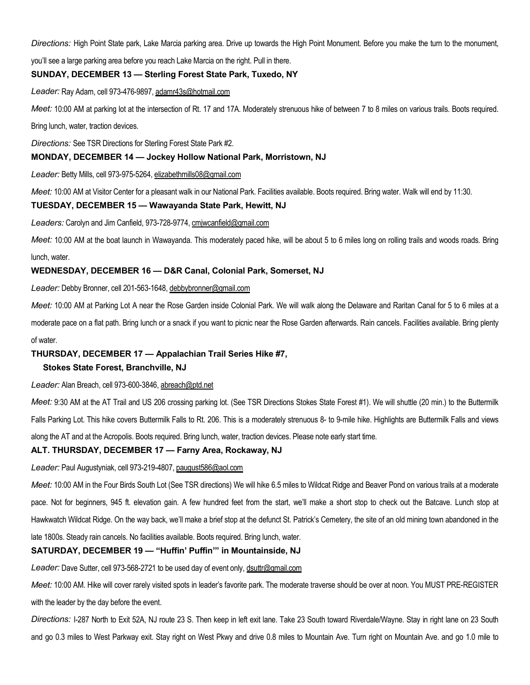Directions: High Point State park, Lake Marcia parking area. Drive up towards the High Point Monument. Before you make the turn to the monument,

you'll see a large parking area before you reach Lake Marcia on the right. Pull in there.

# SUNDAY, DECEMBER 13 — Sterling Forest State Park, Tuxedo, NY

Leader: Ray Adam, cell 973-476-9897, adamr43s@hotmail.com

Meet: 10:00 AM at parking lot at the intersection of Rt. 17 and 17A. Moderately strenuous hike of between 7 to 8 miles on various trails. Boots required.

Bring lunch, water, traction devices.

Directions: See TSR Directions for Sterling Forest State Park #2.

#### MONDAY, DECEMBER 14 — Jockey Hollow National Park, Morristown, NJ

Leader: Betty Mills, cell 973-975-5264, elizabethmills08@gmail.com

Meet: 10:00 AM at Visitor Center for a pleasant walk in our National Park. Facilities available. Boots required. Bring water. Walk will end by 11:30.

#### TUESDAY, DECEMBER 15 — Wawayanda State Park, Hewitt, NJ

Leaders: Carolyn and Jim Canfield, 973-728-9774, cmiwcanfield@gmail.com

Meet: 10:00 AM at the boat launch in Wawayanda. This moderately paced hike, will be about 5 to 6 miles long on rolling trails and woods roads. Bring lunch, water.

# WEDNESDAY, DECEMBER 16 — D&R Canal, Colonial Park, Somerset, NJ

Leader: Debby Bronner, cell 201-563-1648, debbybronner@gmail.com

Meet: 10:00 AM at Parking Lot A near the Rose Garden inside Colonial Park. We will walk along the Delaware and Raritan Canal for 5 to 6 miles at a moderate pace on a flat path. Bring lunch or a snack if you want to picnic near the Rose Garden afterwards. Rain cancels. Facilities available. Bring plenty of water.

# THURSDAY, DECEMBER 17 — Appalachian Trail Series Hike #7,

#### Stokes State Forest, Branchville, NJ

#### Leader: Alan Breach, cell 973-600-3846, abreach@ptd.net

Meet: 9:30 AM at the AT Trail and US 206 crossing parking lot. (See TSR Directions Stokes State Forest #1). We will shuttle (20 min.) to the Buttermilk Falls Parking Lot. This hike covers Buttermilk Falls to Rt. 206. This is a moderately strenuous 8- to 9-mile hike. Highlights are Buttermilk Falls and views along the AT and at the Acropolis. Boots required. Bring lunch, water, traction devices. Please note early start time.

#### ALT. THURSDAY, DECEMBER 17 — Farny Area, Rockaway, NJ

Leader: Paul Augustyniak, cell 973-219-4807, paugust586@aol.com

Meet: 10:00 AM in the Four Birds South Lot (See TSR directions) We will hike 6.5 miles to Wildcat Ridge and Beaver Pond on various trails at a moderate pace. Not for beginners, 945 ft. elevation gain. A few hundred feet from the start, we'll make a short stop to check out the Batcave. Lunch stop at Hawkwatch Wildcat Ridge. On the way back, we'll make a brief stop at the defunct St. Patrick's Cemetery, the site of an old mining town abandoned in the late 1800s. Steady rain cancels. No facilities available. Boots required. Bring lunch, water.

# SATURDAY, DECEMBER 19 — "Huffin' Puffin'" in Mountainside, NJ

Leader: Dave Sutter, cell 973-568-2721 to be used day of event only, dsuttr@gmail.com

Meet: 10:00 AM. Hike will cover rarely visited spots in leader's favorite park. The moderate traverse should be over at noon. You MUST PRE-REGISTER with the leader by the day before the event.

Directions: I-287 North to Exit 52A, NJ route 23 S. Then keep in left exit lane. Take 23 South toward Riverdale/Wayne. Stay in right lane on 23 South and go 0.3 miles to West Parkway exit. Stay right on West Pkwy and drive 0.8 miles to Mountain Ave. Turn right on Mountain Ave. and go 1.0 mile to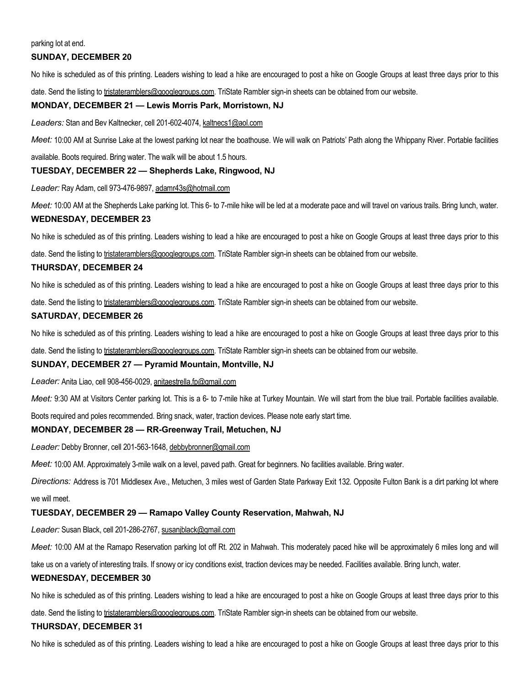#### parking lot at end.

# SUNDAY, DECEMBER 20

No hike is scheduled as of this printing. Leaders wishing to lead a hike are encouraged to post a hike on Google Groups at least three days prior to this

date. Send the listing to tristateramblers@googlegroups.com. TriState Rambler sign-in sheets can be obtained from our website.

#### MONDAY, DECEMBER 21 — Lewis Morris Park, Morristown, NJ

Leaders: Stan and Bev Kaltnecker, cell 201-602-4074, kaltnecs1@aol.com

Meet: 10:00 AM at Sunrise Lake at the lowest parking lot near the boathouse. We will walk on Patriots' Path along the Whippany River. Portable facilities

available. Boots required. Bring water. The walk will be about 1.5 hours.

## TUESDAY, DECEMBER 22 — Shepherds Lake, Ringwood, NJ

Leader: Ray Adam, cell 973-476-9897, adamr43s@hotmail.com

Meet: 10:00 AM at the Shepherds Lake parking lot. This 6- to 7-mile hike will be led at a moderate pace and will travel on various trails. Bring lunch, water.

#### WEDNESDAY, DECEMBER 23

No hike is scheduled as of this printing. Leaders wishing to lead a hike are encouraged to post a hike on Google Groups at least three days prior to this

date. Send the listing to tristateramblers@googlegroups.com. TriState Rambler sign-in sheets can be obtained from our website.

#### THURSDAY, DECEMBER 24

No hike is scheduled as of this printing. Leaders wishing to lead a hike are encouraged to post a hike on Google Groups at least three days prior to this

date. Send the listing to tristateramblers@googlegroups.com. TriState Rambler sign-in sheets can be obtained from our website.

# SATURDAY, DECEMBER 26

No hike is scheduled as of this printing. Leaders wishing to lead a hike are encouraged to post a hike on Google Groups at least three days prior to this

date. Send the listing to tristateramblers@googlegroups.com. TriState Rambler sign-in sheets can be obtained from our website.

#### SUNDAY, DECEMBER 27 — Pyramid Mountain, Montville, NJ

Leader: Anita Liao, cell 908-456-0029, anitaestrella.fp@gmail.com

Meet: 9:30 AM at Visitors Center parking lot. This is a 6- to 7-mile hike at Turkey Mountain. We will start from the blue trail. Portable facilities available.

Boots required and poles recommended. Bring snack, water, traction devices. Please note early start time.

## MONDAY, DECEMBER 28 — RR-Greenway Trail, Metuchen, NJ

Leader: Debby Bronner, cell 201-563-1648, debbybronner@gmail.com

Meet: 10:00 AM. Approximately 3-mile walk on a level, paved path. Great for beginners. No facilities available. Bring water.

Directions: Address is 701 Middlesex Ave., Metuchen, 3 miles west of Garden State Parkway Exit 132. Opposite Fulton Bank is a dirt parking lot where we will meet.

#### TUESDAY, DECEMBER 29 — Ramapo Valley County Reservation, Mahwah, NJ

Leader: Susan Black, cell 201-286-2767, susanjblack@gmail.com

Meet: 10:00 AM at the Ramapo Reservation parking lot off Rt. 202 in Mahwah. This moderately paced hike will be approximately 6 miles long and will

take us on a variety of interesting trails. If snowy or icy conditions exist, traction devices may be needed. Facilities available. Bring lunch, water.

#### WEDNESDAY, DECEMBER 30

No hike is scheduled as of this printing. Leaders wishing to lead a hike are encouraged to post a hike on Google Groups at least three days prior to this

date. Send the listing to tristateramblers@googlegroups.com. TriState Rambler sign-in sheets can be obtained from our website.

#### THURSDAY, DECEMBER 31

No hike is scheduled as of this printing. Leaders wishing to lead a hike are encouraged to post a hike on Google Groups at least three days prior to this